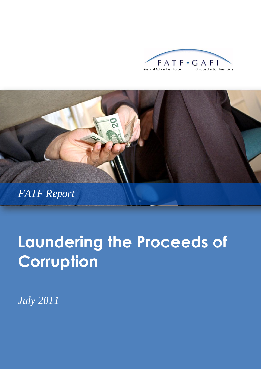



*FATF Report*

# **Laundering the Proceeds of Corruption**

*July 2011*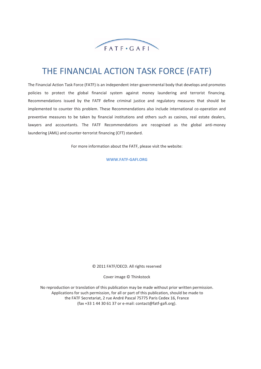

# THE FINANCIAL ACTION TASK FORCE (FATF)

The Financial Action Task Force (FATF) is an independent inter-governmental body that develops and promotes policies to protect the global financial system against money laundering and terrorist financing. Recommendations issued by the FATF define criminal justice and regulatory measures that should be implemented to counter this problem. These Recommendations also include international co-operation and preventive measures to be taken by financial institutions and others such as casinos, real estate dealers, lawyers and accountants. The FATF Recommendations are recognised as the global anti-money laundering (AML) and counter-terrorist financing (CFT) standard.

For more information about the FATF, please visit the website:

**WWW.FATF-GAFI.ORG**

© 2011 FATF/OECD. All rights reserved

Cover image © Thinkstock

No reproduction or translation of this publication may be made without prior written permission. Applications for such permission, for all or part of this publication, should be made to the FATF Secretariat, 2 rue André Pascal 75775 Paris Cedex 16, France (fax +33 1 44 30 61 37 or e-mail[: contact@fatf-gafi.org\)](mailto:contact@fatf-gafi.org).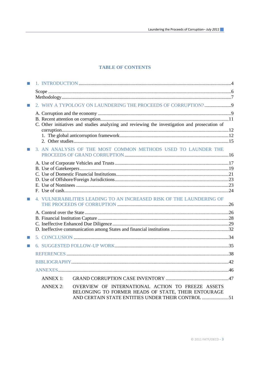# **TABLE OF CONTENTS**

|                 | C. Other initiatives and studies analyzing and reviewing the investigation and prosecution of                                                                 |  |
|-----------------|---------------------------------------------------------------------------------------------------------------------------------------------------------------|--|
|                 |                                                                                                                                                               |  |
|                 |                                                                                                                                                               |  |
|                 | 3. AN ANALYSIS OF THE MOST COMMON METHODS USED TO LAUNDER THE                                                                                                 |  |
|                 |                                                                                                                                                               |  |
|                 |                                                                                                                                                               |  |
|                 |                                                                                                                                                               |  |
|                 |                                                                                                                                                               |  |
|                 |                                                                                                                                                               |  |
|                 | 4. VULNERABILITIES LEADING TO AN INCREASED RISK OF THE LAUNDERING OF                                                                                          |  |
|                 |                                                                                                                                                               |  |
|                 |                                                                                                                                                               |  |
|                 |                                                                                                                                                               |  |
|                 |                                                                                                                                                               |  |
|                 |                                                                                                                                                               |  |
|                 |                                                                                                                                                               |  |
|                 |                                                                                                                                                               |  |
|                 |                                                                                                                                                               |  |
|                 |                                                                                                                                                               |  |
| <b>ANNEX 1:</b> |                                                                                                                                                               |  |
| <b>ANNEX 2:</b> | OVERVIEW OF INTERNATIONAL ACTION TO FREEZE ASSETS<br>BELONGING TO FORMER HEADS OF STATE, THEIR ENTOURAGE<br>AND CERTAIN STATE ENTITIES UNDER THEIR CONTROL 51 |  |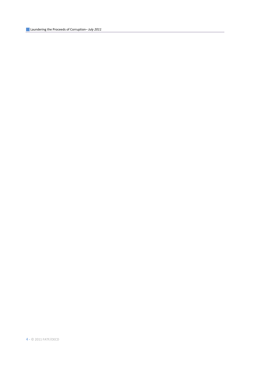<span id="page-3-0"></span>Laundering the Proceeds of Corruption– *July 2011*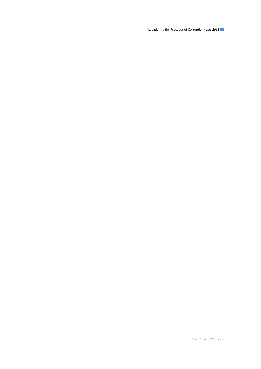Laundering the Proceeds of Corruption– *July 2011*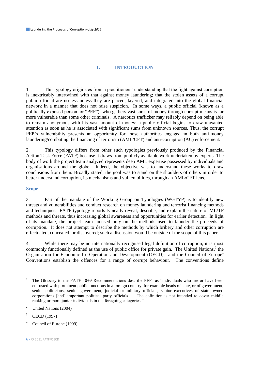#### **1. INTRODUCTION**

1. This typology originates from a practitioners' understanding that the fight against corruption is inextricably intertwined with that against money laundering; that the stolen assets of a corrupt public official are useless unless they are placed, layered, and integrated into the global financial network in a manner that does not raise suspicion. In some ways, a public official (known as a politically exposed person, or "PEP")<sup>1</sup> who gathers vast sums of money through corrupt means is far more vulnerable than some other criminals. A narcotics trafficker may reliably depend on being able to remain anonymous with his vast amount of money; a public official begins to draw unwanted attention as soon as he is associated with significant sums from unknown sources. Thus, the corrupt PEP's vulnerability presents an opportunity for those authorities engaged in both anti-money laundering/combating the financing of terrorism (AML/CFT) and anti-corruption (AC) enforcement.

2. This typology differs from other such typologies previously produced by the Financial Action Task Force (FATF) because it draws from publicly available work undertaken by experts. The body of work the project team analyzed represents deep AML expertise possessed by individuals and organisations around the globe. Indeed, the objective was to understand these works to draw conclusions from them. Broadly stated, the goal was to stand on the shoulders of others in order to better understand corruption, its mechanisms and vulnerabilities, through an AML/CFT lens.

#### **Scope**

3. Part of the mandate of the Working Group on Typologies (WGTYP) is to identify new threats and vulnerabilities and conduct research on money laundering and terrorist financing methods and techniques. FATF typology reports typically reveal, describe, and explain the nature of ML/TF methods and threats, thus increasing global awareness and opportunities for earlier detection. In light of its mandate, the project team focused only on the methods used to launder the proceeds of corruption. It does not attempt to describe the methods by which bribery and other corruption are effectuated, concealed, or discovered; such a discussion would be outside of the scope of this paper.

4. While there may be no internationally recognised legal definition of corruption, it is most commonly functionally defined as the use of public office for private gain. The United Nations,<sup>2</sup> the Organisation for Economic Co-Operation and Development (OECD),<sup>3</sup> and the Council of Europe<sup>4</sup> Conventions establish the offences for a range of corrupt behaviour. The conventions define

The Glossary to the FATF 40+9 Recommendations describe PEPs as "individuals who are or have been entrusted with prominent public functions in a foreign country, for example heads of state, or of government, senior politicians, senior government, judicial or military officials, senior executives of state owned corporations [and] important political party officials … The definition is not intended to cover middle ranking or more junior individuals in the foregoing categories."

<sup>&</sup>lt;sup>2</sup> United Nations (2004)

<sup>3</sup> OECD (1997)

<sup>4</sup> Council of Europe (1999)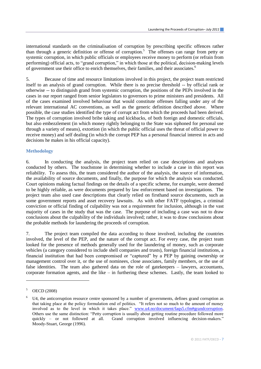international standards on the criminalisation of corruption by prescribing specific offences rather than through a generic definition or offense of corruption.<sup>5</sup> The offenses can range from petty or systemic corruption, in which public officials or employees receive money to perform (or refrain from performing) official acts, to "grand corruption," in which those at the political, decision-making levels of government use their office to enrich themselves, their families, and their associates.<sup>6</sup>

5. Because of time and resource limitations involved in this project, the project team restricted itself to an analysis of grand corruption. While there is no precise threshold -- by official rank or otherwise -- to distinguish grand from systemic corruption, the positions of the PEPs involved in the cases in our report ranged from senior legislators to governors to prime ministers and presidents. All of the cases examined involved behaviour that would constitute offenses falling under any of the relevant international AC conventions, as well as the generic definition described above. Where possible, the case studies identified the type of corrupt act from which the proceeds had been derived. The types of corruption involved bribe taking and kickbacks, of both foreign and domestic officials, but also embezzlement (in which money rightly belonging to the State was siphoned for personal use through a variety of means), extortion (in which the public official uses the threat of official power to receive money) and self dealing (in which the corrupt PEP has a personal financial interest in acts and decisions he makes in his official capacity).

#### **Methodology**

6. In conducting the analysis, the project team relied on case descriptions and analyses conducted by others. The touchstone in determining whether to include a case in this report was reliability. To assess this, the team considered the author of the analysis, the source of information, the availability of source documents, and finally, the purpose for which the analysis was conducted. Court opinions making factual findings on the details of a specific scheme, for example, were deemed to be highly reliable, as were documents prepared by law enforcement based on investigations. The project team also used case descriptions that clearly relied on firsthand source documents, such as some government reports and asset recovery lawsuits. As with other FATF typologies, a criminal conviction or official finding of culpability was not a requirement for inclusion, although in the vast majority of cases in the study that was the case. The purpose of including a case was not to draw conclusions about the culpability of the individuals involved; rather, it was to draw conclusions about the probable methods for laundering the proceeds of corruption.

7. The project team compiled the data according to those involved, including the countries involved, the level of the PEP, and the nature of the corrupt act. For every case, the project team looked for the presence of methods generally used for the laundering of money, such as corporate vehicles (a category considered to include shell companies and trusts), foreign financial institutions, a financial institution that had been compromised or "captured" by a PEP by gaining ownership or management control over it, or the use of nominees, close associates, family members, or the use of false identities. The team also gathered data on the role of gatekeepers – lawyers, accountants, corporate formation agents, and the like – in furthering these schemes. Lastly, the team looked to

 $5$  OECD (2008)

<sup>&</sup>lt;sup>6</sup> U4, the anticorruption resource centre sponsored by a number of governments, defines grand corruption as that taking place at the policy formulation end of politics. "It refers not so much to the amount of money involved as to the level in which it takes place." [www.u4.no/document/faqs5.cfm#grandcorruption.](http://www.u4.no/document/faqs5.cfm#grandcorruption) Others use the same distinction: "Petty corruption is usually about getting routine procedure followed more quickly – or not followed at all. Grand corruption involved influencing decision-makers." Moody-Stuart, George (1996).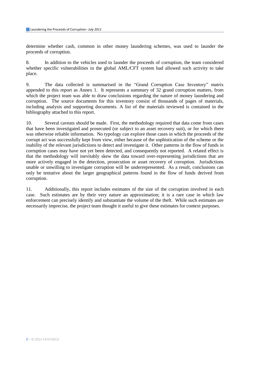determine whether cash, common in other money laundering schemes, was used to launder the proceeds of corruption.

8. In addition to the vehicles used to launder the proceeds of corruption, the team considered whether specific vulnerabilities in the global AML/CFT system had allowed such activity to take place.

9. The data collected is summarised in the "Grand Corruption Case Inventory" matrix appended to this report as Annex 1. It represents a summary of 32 grand corruption matters, from which the project team was able to draw conclusions regarding the nature of money laundering and corruption. The source documents for this inventory consist of thousands of pages of materials, including analysis and supporting documents. A list of the materials reviewed is contained in the bibliography attached to this report.

10. Several caveats should be made. First, the methodology required that data come from cases that have been investigated and prosecuted (or subject to an asset recovery suit), or for which there was otherwise reliable information. No typology can explore those cases in which the proceeds of the corrupt act was successfully kept from view, either because of the sophistication of the scheme or the inability of the relevant jurisdictions to detect and investigate it. Other patterns in the flow of funds in corruption cases may have not yet been detected, and consequently not reported. A related effect is that the methodology will inevitably skew the data toward over-representing jurisdictions that are more actively engaged in the detection, prosecution or asset recovery of corruption. Jurisdictions unable or unwilling to investigate corruption will be underrepresented. As a result, conclusions can only be tentative about the larger geographical patterns found in the flow of funds derived from corruption.

11. Additionally, this report includes estimates of the size of the corruption involved in each case. Such estimates are by their very nature an approximation; it is a rare case in which law enforcement can precisely identify and substantiate the volume of the theft. While such estimates are necessarily imprecise, the project team thought it useful to give these estimates for context purposes.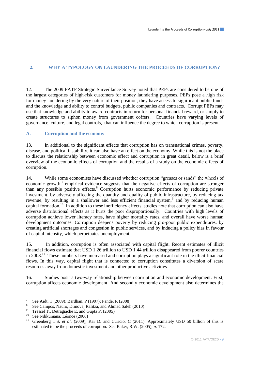# <span id="page-8-0"></span>**2. WHY A TYPOLOGY ON LAUNDERING THE PROCEEDS OF CORRUPTION?**

12. The 2009 FATF Strategic Surveillance Survey noted that PEPs are considered to be one of the largest categories of high-risk customers for money laundering purposes. PEPs pose a high risk for money laundering by the very nature of their position; they have access to significant public funds and the knowledge and ability to control budgets, public companies and contracts. Corrupt PEPs may use that knowledge and ability to award contracts in return for personal financial reward, or simply to create structures to siphon money from government coffers. Countries have varying levels of governance, culture, and legal controls, that can influence the degree to which corruption is present.

#### **A. Corruption and the economy**

13. In additional to the significant effects that corruption has on transnational crimes, poverty, disease, and political instability, it can also have an effect on the economy. While this is not the place to discuss the relationship between economic effect and corruption in great detail, below is a brief overview of the economic effects of corruption and the results of a study on the economic effects of corruption.

14. While some economists have discussed whether corruption "greases or sands" the wheels of economic growth,<sup>7</sup> empirical evidence suggests that the negative effects of corruption are stronger than any possible positive effects. <sup>8</sup> Corruption hurts economic performance by reducing private investment, by adversely affecting the quantity and quality of public infrastructure, by reducing tax revenue, by resulting in a shallower and less efficient financial system,<sup>9</sup> and by reducing human capital formation.<sup>10</sup> In addition to these inefficiency effects, studies note that corruption can also have adverse distributional effects as it hurts the poor disproportionally. Countries with high levels of corruption achieve lower literacy rates, have higher mortality rates, and overall have worse human development outcomes. Corruption deepens poverty by reducing pro-poor public expenditures, by creating artificial shortages and congestion in public services, and by inducing a policy bias in favour of capital intensity, which perpetuates unemployment.

15. In addition, corruption is often associated with capital flight. Recent estimates of illicit financial flows estimate that USD 1.26 trillion to USD 1.44 trillion disappeared from poorer countries in 2008.<sup>11</sup> These numbers have increased and corruption plays a significant role in the illicit financial flows. In this way, capital flight that is connected to corruption constitutes a diversion of scare resources away from domestic investment and other productive activities.

16. Studies posit a two-way relationship between corruption and economic development. First, corruption affects economic development. And secondly economic development also determines the

<sup>7</sup> See Aidt, T (2009); Bardhan, P (1997); Pande, R (2008)

<sup>8</sup> See Campos, Nauro, Dimova, Ralitza, and Ahmad Saleh (2010)

<sup>9</sup> Tressel T., Detragiache E. and Gupta P. (2005)

<sup>&</sup>lt;sup>10</sup> See Ndikumana, Léonce (2006)

Greenberg T.S. *et al.* (2009), Kar D. and Curicio, C (2011). Approximately USD 50 billion of this is estimated to be the proceeds of corruption. See Baker, R.W. (2005), *p.* 172.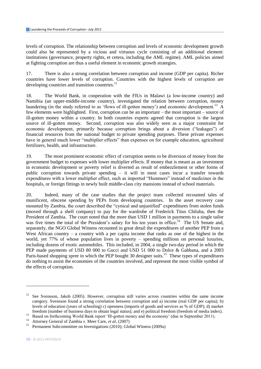levels of corruption. The relationship between corruption and levels of economic development growth could also be represented by a vicious and virtuous cycle consisting of an additional element: institutions (governance, property rights, et cetera, including the AML regime). AML policies aimed at fighting corruption are thus a useful element in economic growth strategies.

17. There is also a strong correlation between corruption and income (GDP per capita). Richer countries have lower levels of corruption. Countries with the highest levels of corruption are developing countries and transition countries. $^{12}$ 

18. The World Bank, in cooperation with the FIUs in Malawi (a low-income country) and Namibia (an upper-middle-income country), investigated the relation between corruption, money laundering (in the study referred to as 'flows of ill-gotten money') and economic development.<sup>13</sup> A few elements were highlighted. First, corruption can be an important – the most important – source of ill-gotten money within a country. In both countries experts agreed that corruption is the largest source of ill-gotten money. Second, corruption was also widely seen as a major constraint for economic development, primarily because corruption brings about a diversion ("leakages") of financial resources from the national budget to private spending purposes. These private expenses have in general much lower "multiplier effects" than expenses on for example education, agricultural fertilizers, health, and infrastructure.

19. The most prominent economic effect of corruption seems to be diversion of money from the government budget to expenses with lower multiplier effects. If money that is meant as an investment in economic development or poverty relief is diverted as result of embezzlement or other forms of public corruption towards private spending – it will in most cases incur a transfer towards expenditures with a lower multiplier effect, such as imported "Hummers" instead of medicines in the hospitals, or foreign fittings in newly built middle-class city mansions instead of school materials.

20. Indeed, many of the case studies that the project team collected recounted tales of munificent, obscene spending by PEPs from developing countries. In the asset recovery case mounted by Zambia, the court described the "cynical and unjustified" expenditures from stolen funds (moved through a shell company) to pay for the wardrobe of Frederick Titus Chiluba, then the President of Zambia. The court noted that the more than USD 1 million in payments to a single tailor was five times the total of the President's salary for his ten years in office.<sup>14</sup> The US Senate and, separately, the NGO Global Witness recounted in great detail the expenditures of another PEP from a West African country – a country with a per capita income that ranks as one of the highest in the world, yet 77% of whose population lives in poverty – spending millions on personal luxuries, including dozens of exotic automobiles. This included, in 2004, a single two-day period in which the PEP made payments of USD 80 000 to Gucci and USD 51 000 to Dolce & Gabbana, and a 2003 Paris-based shopping spree in which the PEP bought 30 designer suits.<sup>15</sup> These types of expenditures do nothing to assist the economies of the countries involved, and represent the most visible symbol of the effects of corruption.

See Svensson, Jakob (2005). However, corruption still varies across countries within the same income category. Svensson found a strong correlation between corruption and a) income (real GDP per capita); b) levels of education (years of schooling) c) openness (imports of goods and services as % of GDP); d) market freedom (number of business days to obtain legal status); and e) political freedom (freedom of media index).

 $\frac{13}{14}$  Based on forthcoming World Bank report 'Ill-gotten money and the economy' (due in September 2011).

<sup>14</sup> Attorney General of Zambia *v.* Meer Care, *et al*, (2007)

<sup>15</sup> Permanent Subcommittee on Investigations (2010); Global Witness (2009a)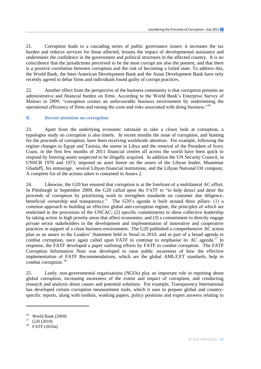21. Corruption leads to a cascading series of public governance issues: it increases the tax burden and reduces services for those affected, lessens the impact of developmental assistance and undermines the confidence in the government and political structures in the affected country. It is no coincidence that the jurisdictions perceived to be the most corrupt are also the poorest, and that there is a positive correlation between corruption and the risk of becoming a failed state. To address this, the World Bank, the Inter-American Development Bank and the Asian Development Bank have only recently agreed to debar firms and individuals found guilty of corrupt practices.

22. Another effect from the perspective of the business community is that corruption presents an administrative and financial burden on firms. According to the World Bank's Enterprise Survey of Malawi in 2009, "corruption creates an unfavourable business environment by undermining the operational efficiency of firms and raising the costs and risks associated with doing business.<sup>16</sup>

# **B. Recent attention on corruption**

23. Apart from the underlying economic rationale to take a closer look at corruption, a typologies study on corruption is also timely. In recent months the issue of corruption, and hunting for the proceeds of corruption, have been receiving worldwide attention. For example, following the regime changes in Egypt and Tunisia, the unrest in Libya and the removal of the President of Ivory Coast, in the first few months of 2011 financial centres all across the world have been quick to respond by freezing assets suspected to be illegally acquired. In addition the UN Security Council, in UNSCR 1970 and 1973, imposed an asset freeze on the assets of the Libyan leader, Muammar Ghadaffi, his entourage, several Libyan financial institutions, and the Libyan National Oil company. A complete list of the actions taken is contained in Annex 2.

24. Likewise, the G20 has ensured that corruption is at the forefront of a multilateral AC effort. In Pittsburgh in September 2009, the G20 called upon the FATF to "to help detect and deter the proceeds of corruption by prioritizing work to strengthen standards on customer due diligence, beneficial ownership and transparency." The G20's agenda is built around three pillars: (1) a common approach to building an effective global anti-corruption regime, the principles of which are enshrined in the provisions of the UNCAC; (2) specific commitments to show collective leadership by taking action in high priority areas that affect economies; and (3) a commitment to directly engage private sector stakeholders in the development and implementation of innovative and cooperative practices in support of a clean business environment. The G20 published a comprehensive AC action plan as an annex to the Leaders' Statement held in Seoul in 2010, and as part of a broad agenda to combat corruption, once again called upon FATF to continue to emphasise its AC agenda.<sup>17</sup> In response, the FATF developed a paper outlining efforts by FATF to combat corruption. The FATF Corruption Information Note was developed to raise public awareness of how the effective implementation of FATF Recommendations, which are the global AML/CFT standards, help to combat corruption. <sup>18</sup>

25. Lastly, non-governmental organisations (NGOs) play an important role in reporting about global corruption, increasing awareness of the extent and impact of corruption, and conducting research and analysis about causes and potential solutions. For example, Transparency International has developed certain corruption measurement tools, which it uses to prepare global and countryspecific reports, along with toolkits, working papers, policy positions and expert answers relating to

 $^{16}$  World Bank (2009)

G20 (2010)

 $18$  FATF (2010a)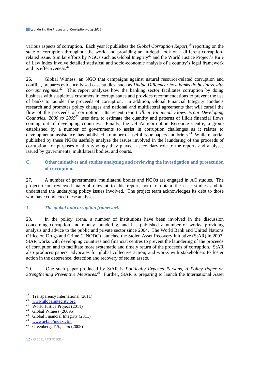various aspects of corruption. Each year it publishes the *Global Corruption Report*, <sup>19</sup> reporting on the state of corruption throughout the world and providing an in-depth look on a different corruptionrelated issue. Similar efforts by NGOs such as Global Integrity<sup>20</sup> and the World Justice Project's Rule of Law Index involve detailed statistical and socio-economic analysis of a country's legal framework and its effectiveness.<sup>21</sup>

26. Global Witness, an NGO that campaigns against natural resource-related corruption and conflict, prepares evidence-based case studies, such as *Undue Diligence: how banks do business with*  corrupt regimes.<sup>22</sup> This report analyzes how the banking sector facilitates corruption by doing business with suspicious customers in corrupt states and provides recommendations to prevent the use of banks to launder the proceeds of corruption. In addition, Global Financial Integrity conducts research and promotes policy changes and national and multilateral agreements that will curtail the flow of the proceeds of corruption. Its recent report *Illicit Financial Flows From Developing Countries: 2000 to 2009*<sup>23</sup> uses data to estimate the quantity and patterns of illicit financial flows coming out of developing countries. Finally, the U4 Anticorruption Resource Centre, a group established by a number of governments to assist in corruption challenges as it relates to developmental assistance, has published a number of useful issue papers and briefs.<sup>24</sup> While material published by these NGOs usefully analyze the issues involved in the laundering of the proceeds of corruption, for purposes of this typology they played a secondary role to the reports and analyses issued by governments, multilateral bodies, and courts.

## **C. Other initiatives and studies analyzing and reviewing the investigation and prosecution of corruption.**

27. A number of governments, multilateral bodies and NGOs are engaged in AC studies. The project team reviewed material relevant to this report, both to obtain the case studies and to understand the underlying policy issues involved. The project team acknowledges its debt to those who have conducted these analyses.

#### *1. The global anticorruption framework*

28. In the policy arena, a number of institutions have been involved in the discussion concerning corruption and money laundering, and has published a number of works, providing analysis and advice to the public and private sector since 2004. The World Bank and United Nations Office on Drugs and Crime (UNODC) launched the Stolen Asset Recovery Initiative (StAR) in 2007. StAR works with developing countries and financial centres to prevent the laundering of the proceeds of corruption and to facilitate more systematic and timely return of the proceeds of corruption. StAR also produces papers, advocates for global collective action, and works with stakeholders to foster action in the deterrence, detection and recovery of stolen assets.

29. One such paper produced by StAR is *Politically Exposed Persons, A Policy Paper on Strengthening Preventive Measures.*<sup>25</sup> Further, StAR is preparing to launch the International Asset

 $\frac{19}{20}$  Transparency International (2011)

 $rac{20}{21}$  [www.globalintegrity.org](http://www.globalintegrity.org/)

World Justice Project (2011)

<sup>&</sup>lt;sup>22</sup> Global Witness (2009b)

<sup>&</sup>lt;sup>23</sup> Global Financial Integrity (2011)

 $\frac{24}{25}$  [www.u4.no/index.cfm](http://www.u4.no/index.cfm)

<sup>25</sup> Greenberg, T.S., *et al* (2009)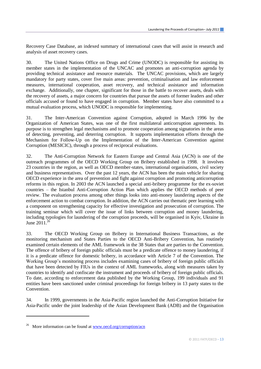Recovery Case Database, an indexed summary of international cases that will assist in research and analysis of asset recovery cases.

30. The United Nations Office on Drugs and Crime (UNODC) is responsible for assisting its member states in the implementation of the UNCAC and promotes an anti-corruption agenda by providing technical assistance and resource materials. The UNCAC provisions, which are largely mandatory for party states, cover five main areas: prevention, criminalisation and law enforcement measures, international cooperation, asset recovery, and technical assistance and information exchange. Additionally, one chapter, significant for those in the battle to recover assets, deals with the recovery of assets, a major concern for countries that pursue the assets of former leaders and other officials accused or found to have engaged in corruption. Member states have also committed to a mutual evaluation process, which UNODC is responsible for implementing.

31. The Inter-American Convention against Corruption, adopted in March 1996 by the Organization of American States, was one of the first multilateral anticorruption agreements. Its purpose is to strengthen legal mechanisms and to promote cooperation among signatories in the areas of detecting, preventing, and deterring corruption. It supports implementation efforts through the Mechanism for Follow-Up on the Implementation of the Inter-American Convention against Corruption (MESICIC), through a process of reciprocal evaluations.

32. The Anti-Corruption Network for Eastern Europe and Central Asia (ACN) is one of the outreach programmes of the OECD Working Group on Bribery established in 1998. It involves 23 countries in the region, as well as OECD member-states, international organisations, civil society and business representatives. Over the past 12 years, the ACN has been the main vehicle for sharing OECD experience in the area of prevention and fight against corruption and promoting anticorruption reforms in this region. In 2003 the ACN launched a special anti-bribery programme for the ex-soviet countries – the Istanbul Anti-Corruption Action Plan which applies the OECD methods of peer review. The evaluation process among other things looks into anti-money laundering aspects of the enforcement action to combat corruption. In addition, the ACN carries out thematic peer learning with a component on strengthening capacity for effective investigation and prosecution of corruption. The training seminar which will cover the issue of links between corruption and money laundering, including typologies for laundering of the corruption proceeds, will be organised in Kyiv, Ukraine in June  $2011<sup>2</sup>$ 

33. The OECD Working Group on Bribery in International Business Transactions, as the monitoring mechanism and States Parties to the OECD Anti-Bribery Convention, has routinely examined certain elements of the AML framework in the 38 States that are parties to the Convention. The offence of bribery of foreign public officials must be a predicate offence to money laundering, if it is a predicate offence for domestic bribery, in accordance with Article 7 of the Convention. The Working Group's monitoring process includes examining cases of bribery of foreign public officials that have been detected by FIUs in the context of AML frameworks, along with measures taken by countries to identify and confiscate the instrument and proceeds of bribery of foreign public officials. To date, according to enforcement data published by the Working Group, 199 individuals and 91 entities have been sanctioned under criminal proceedings for foreign bribery in 13 party states to the Convention.

34. In 1999, governments in the Asia-Pacific region launched the Anti-Corruption Initiative for Asia-Pacific under the joint leadership of the Asian Development Bank (ADB) and the Organisation

<sup>&</sup>lt;sup>26</sup> More information can be found at [www.oecd.org/corruption/acn](http://www.oecd.org/corruption/acn)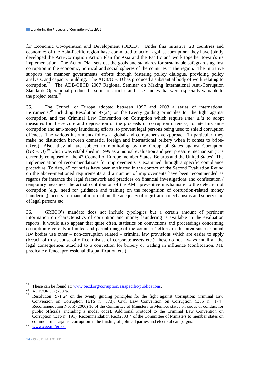for Economic Co-operation and Development (OECD). Under this initiative, 28 countries and economies of the Asia-Pacific region have committed to action against corruption: they have jointly developed the Anti-Corruption Action Plan for Asia and the Pacific and work together towards its implementation. The Action Plan sets out the goals and standards for sustainable safeguards against corruption in the economic, political and social spheres of the countries in the region. The Initiative supports the member governments' efforts through fostering policy dialogue, providing policy analysis, and capacity building. The ADB/OECD has produced a substantial body of work relating to corruption.<sup>27</sup> The ADB/OECD 2007 Regional Seminar on Making International Anti-Corruption Standards Operational produced a series of articles and case studies that were especially valuable to the project team. $^{28}$ 

35. The Council of Europe adopted between 1997 and 2003 a series of international instruments,<sup>29</sup> including Resolution 97(24) on the twenty guiding principles for the fight against corruption, and the Criminal Law Convention on Corruption which require *inter alia* to adopt measures for the seizure and deprivation of the proceeds of corruption offences, to interlink anticorruption and anti-money laundering efforts, to prevent legal persons being used to shield corruption offences. The various instruments follow a global and comprehensive approach (in particular, they make no distinction between domestic, foreign and international bribery when it comes to bribetakers). Also, they all are subject to monitoring by the Group of States against Corruption (GRECO), <sup>30</sup> which was established in 1999 as a mutual evaluation and peer pressure mechanism (it is currently composed of the 47 Council of Europe member States, Belarus and the United States). The implementation of recommendations for improvements is examined through a specific compliance procedure. To date, 45 countries have been evaluated in the context of the Second Evaluation Round on the above-mentioned requirements and a number of improvements have been recommended as regards for instance the legal framework and practices on financial investigations and confiscation / temporary measures, the actual contribution of the AML preventive mechanisms to the detection of corruption (*e.g.,* need for guidance and training on the recognition of corruption-related money laundering), access to financial information, the adequacy of registration mechanisms and supervision of legal persons etc.

36. GRECO's mandate does not include typologies but a certain amount of pertinent information on characteristics of corruption and money laundering is available in the evaluation reports. It would also appear that quite often, statistics on convictions and proceedings concerning corruption give only a limited and partial image of the countries' efforts in this area since criminal law bodies use other – non-corruption related – criminal law provisions which are easier to apply (breach of trust, abuse of office, misuse of corporate assets etc.); these do not always entail all the legal consequences attached to a conviction for bribery or trading in influence (confiscation, ML predicate offence, professional disqualification etc.).

<sup>&</sup>lt;sup>27</sup> These can be found at:  $\frac{www.oecd.org/corruption/asiapacific/publications.}$ <br><sup>28</sup>  $\leftarrow$  DD/OEGD (2007).

<sup>&</sup>lt;sup>28</sup> ADB/OECD (2007a)

Resolution (97) 24 on the twenty guiding principles for the fight against Corruption; Criminal Law Convention on Corruption (ETS  $n^{\circ}$  173); Civil Law Convention on Corruption (ETS  $n^{\circ}$  174), Recommendation No. R (2000) 10 of the Committee of Ministers to Member states on codes of conduct for public officials (including a model code), Additional Protocol to the Criminal Law Convention on Corruption (ETS n° 191), Recommendation Rec(2003)4 of the Committee of Ministers to member states on common rules against corruption in the funding of political parties and electoral campaigns.

<sup>&</sup>lt;sup>30</sup> [www.coe.int/greco](http://www.coe.int/greco)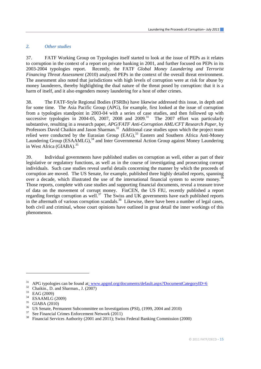# *2. Other studies*

37. FATF Working Group on Typologies itself started to look at the issue of PEPs as it relates to corruption in the context of a report on private banking in 2001, and further focused on PEPs in its 2003-2004 typologies report. Recently, the FATF *Global Money Laundering and Terrorist Financing Threat Assessment* (2010) analyzed PEPs in the context of the overall threat environment. The assessment also noted that jurisdictions with high levels of corruption were at risk for abuse by money launderers, thereby highlighting the dual nature of the threat posed by corruption: that it is a harm of itself, and it also engenders money laundering for a host of other crimes.

38. The FATF-Style Regional Bodies (FSRBs) have likewise addressed this issue, in depth and for some time. The Asia Pacific Group (APG), for example, first looked at the issue of corruption from a typologies standpoint in 2003-04 with a series of case studies, and then followed up with successive typologies in 2004-05, 2007, 2008 and  $2009$ .<sup>31</sup> The  $2007$  effort was particularly substantive, resulting in a research paper, *APG/FATF Anti-Corruption AML/CFT Research Paper*, by Professors David Chaikin and Jason Sharman.<sup>32</sup> Additional case studies upon which the project team relied were conducted by the Eurasian Group  $(EAG)$ ,  $33$  Eastern and Southern Africa Anti-Money Laundering Group (ESAAMLG),<sup>34</sup> and Inter Governmental Action Group against Money Laundering in West Africa (GIABA).<sup>35</sup>

39. Individual governments have published studies on corruption as well, either as part of their legislative or regulatory functions, as well as in the course of investigating and prosecuting corrupt individuals. Such case studies reveal useful details concerning the manner by which the proceeds of corruption are moved. The US Senate, for example, published three highly detailed reports, spanning over a decade, which illustrated the use of the international financial system to secrete money.<sup>3</sup>  $\overline{a}$ Those reports, complete with case studies and supporting financial documents, reveal a treasure trove of data on the movement of corrupt money. FinCEN, the US FIU, recently published a report regarding foreign corruption as well.<sup>37</sup> The Swiss and UK governments have each published reports in the aftermath of various corruption scandals.<sup>38</sup> Likewise, there have been a number of legal cases, both civil and criminal, whose court opinions have outlined in great detail the inner workings of this phenomenon.

<sup>&</sup>lt;sup>31</sup> APG typologies can be found at<u>: www.apgml.org/documents/default.aspx?DocumentCategoryID=6</u>

 $^{32}$  Chaikin., D. and Sharman., J. (2007)

 $^{33}_{34}$  EAG (2009)

 $^{34}$  ESAAMLG (2009)

 $^{35}$  GIABA (2010)

<sup>&</sup>lt;sup>36</sup> US Senate, Permanent Subcommittee on Investigations (PSI), (1999, 2004 and 2010)

<sup>&</sup>lt;sup>37</sup> See Financial Crimes Enforcement Network (2011)

<sup>38</sup> Financial Services Authority (2001 and 2011); Swiss Federal Banking Commission (2000)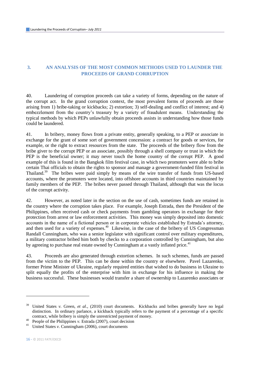# <span id="page-15-0"></span>**3. AN ANALYSIS OF THE MOST COMMON METHODS USED TO LAUNDER THE PROCEEDS OF GRAND CORRUPTION**

40. Laundering of corruption proceeds can take a variety of forms, depending on the nature of the corrupt act. In the grand corruption context, the most prevalent forms of proceeds are those arising from 1) bribe-taking or kickbacks; 2) extortion; 3) self-dealing and conflict of interest; and 4) embezzlement from the country's treasury by a variety of fraudulent means. Understanding the typical methods by which PEPs unlawfully obtain proceeds assists in understanding how those funds could be laundered.

41. In bribery, money flows from a private entity, generally speaking, to a PEP or associate in exchange for the grant of some sort of government concession: a contract for goods or services, for example, or the right to extract resources from the state. The proceeds of the bribery flow from the bribe giver to the corrupt PEP or an associate, possibly through a shell company or trust in which the PEP is the beneficial owner; it may never touch the home country of the corrupt PEP. A good example of this is found in the Bangkok film festival case, in which two promoters were able to bribe certain Thai officials to obtain the rights to sponsor and manage a government-funded film festival in Thailand.<sup>39</sup> The bribes were paid simply by means of the wire transfer of funds from US-based accounts, where the promoters were located, into offshore accounts in third countries maintained by family members of the PEP. The bribes never passed through Thailand, although that was the locus of the corrupt activity.

42. However, as noted later in the section on the use of cash, sometimes funds are retained in the country where the corruption takes place. For example, Joseph Estrada, then the President of the Philippines, often received cash or check payments from gambling operators in exchange for their protection from arrest or law enforcement activities. This money was simply deposited into domestic accounts in the name of a fictional person or in corporate vehicles established by Estrada's attorney, and then used for a variety of expenses.<sup>40</sup> Likewise, in the case of the bribery of US Congressman Randall Cunningham, who was a senior legislator with significant control over military expenditures, a military contractor bribed him both by checks to a corporation controlled by Cunningham, but also by agreeing to purchase real estate owned by Cunningham at a vastly inflated price.<sup>41</sup>

43. Proceeds are also generated through extortion schemes. In such schemes, funds are passed from the victim to the PEP. This can be done within the country or elsewhere. Pavel Lazarenko, former Prime Minister of Ukraine, regularly required entities that wished to do business in Ukraine to split equally the profits of the enterprise with him in exchange for his influence in making the business successful. These businesses would transfer a share of ownership to Lazarenko associates or

<sup>&</sup>lt;sup>39</sup> United States *v*. Green, *et al.*, (2010) court documents. Kickbacks and bribes generally have no legal distinction. In ordinary parlance, a kickback typically refers to the payment of a percentage of a specific contract, while bribery is simply the unrestricted payment of money.

<sup>40</sup> People of the Philippines *v.* Estrada (2007), court decision<br><sup>41</sup> United States *v.* Cunninghen, (2006), against the cuments

United States *v*. Cunningham (2006), court documents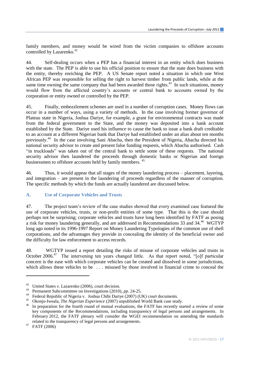family members, and money would be wired from the victim companies to offshore accounts controlled by Lazarenko.<sup>42</sup>

44. Self-dealing occurs when a PEP has a financial interest in an entity which does business with the state. The PEP is able to use his official position to ensure that the state does business with the entity, thereby enriching the PEP. A US Senate report noted a situation in which one West African PEP was responsible for selling the right to harvest timber from public lands, while at the same time owning the same company that had been awarded those rights. $43$  In such situations, money would flow from the affected country's accounts or central bank to accounts owned by the corporation or entity owned or controlled by the PEP.

45. Finally, embezzlement schemes are used in a number of corruption cases. Money flows can occur in a number of ways, using a variety of methods. In the case involving former governor of Plateau state in Nigeria, Joshua Dariye, for example, a grant for environmental contracts was made from the federal government to the State, and the money was deposited into a bank account established by the State. Dariye used his influence to cause the bank to issue a bank draft creditable to an account at a different Nigerian bank that Dariye had established under an alias about ten months previously.<sup>44</sup> In the case involving Sani Abacha, then the President of Nigeria, Abacha directed his national security advisor to create and present false funding requests, which Abacha authorised. Cash "in truckloads" was taken out of the central bank to settle some of these requests. The national security advisor then laundered the proceeds through domestic banks or Nigerian and foreign businessmen to offshore accounts held by family members. <sup>45</sup>

46. Thus, it would appear that all stages of the money laundering process – placement, layering, and integration – are present in the laundering of proceeds regardless of the manner of corruption. The specific methods by which the funds are actually laundered are discussed below.

#### **A. Use of Corporate Vehicles and Trusts**

47. The project team's review of the case studies showed that every examined case featured the use of corporate vehicles, trusts, or non-profit entities of some type. That this is the case should perhaps not be surprising; corporate vehicles and trusts have long been identified by FATF as posing a risk for money laundering generally, and are addressed in Recommendations 33 and 34.<sup>46</sup> WGTYP long ago noted in its 1996-1997 Report on Money Laundering Typologies of the common use of shell corporations, and the advantages they provide in concealing the identity of the beneficial owner and the difficulty for law enforcement to access records.

48. WGTYP issued a report detailing the risks of misuse of corporate vehicles and trusts in October 2006.<sup>47</sup> The intervening ten years changed little. As that report noted, "[o]f particular concern is the ease with which corporate vehicles can be created and dissolved in some jurisdictions, which allows these vehicles to be . . . misused by those involved in financial crime to conceal the

<sup>42</sup> United States *v.* Lazarenko (2006), court decision.

<sup>43</sup> Permanent Subcommittee on Investigations (2010), *pp.* 24-25.

<sup>44</sup> Federal Republic of Nigeria v. Joshua Chibi Dariye (2007) (UK) court documents.

<sup>45</sup> Okonjo-Iweala, *The Nigerian Experience* (2007) unpublished World Bank case study.

<sup>&</sup>lt;sup>46</sup> In preparation for the fourth round of mutual evaluations, the FATF has recently started a review of some key components of the Recommendations, including transparency of legal persons and arrangements. In February 2012, the FATF plenary will consider the WGEI recommendation on amending the standards related to the transparency of legal persons and arrangements.

 $47$  FATF (2006)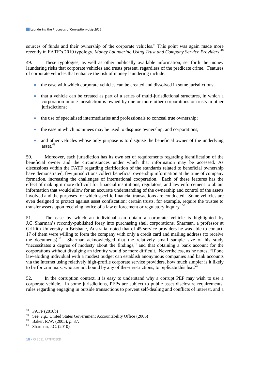sources of funds and their ownership of the corporate vehicles." This point was again made more recently in FATF's 2010 typology, *Money Laundering Using Trust and Company Service Providers*. 48

49. These typologies, as well as other publically available information, set forth the money laundering risks that corporate vehicles and trusts present, regardless of the predicate crime. Features of corporate vehicles that enhance the risk of money laundering include:

- the ease with which corporate vehicles can be created and dissolved in some jurisdictions;
- that a vehicle can be created as part of a series of multi-jurisdictional structures, in which a corporation in one jurisdiction is owned by one or more other corporations or trusts in other jurisdictions;
- the use of specialised intermediaries and professionals to conceal true ownership;
- the ease in which nominees may be used to disguise ownership, and corporations;
- and other vehicles whose only purpose is to disguise the beneficial owner of the underlying asset.<sup>49</sup>

50. Moreover, each jurisdiction has its own set of requirements regarding identification of the beneficial owner and the circumstances under which that information may be accessed. As discussions within the FATF regarding clarification of the standards related to beneficial ownership have demonstrated, few jurisdictions collect beneficial ownership information at the time of company formation, increasing the challenges of international cooperation. Each of these features has the effect of making it more difficult for financial institutions, regulators, and law enforcement to obtain information that would allow for an accurate understanding of the ownership and control of the assets involved and the purposes for which specific financial transactions are conducted. Some vehicles are even designed to protect against asset confiscation; certain trusts, for example, require the trustee to transfer assets upon receiving notice of a law enforcement or regulatory inquiry. <sup>50</sup>

51. The ease by which an individual can obtain a corporate vehicle is highlighted by J.C. Sharman's recently-published foray into purchasing shell corporations. Sharman, a professor at Griffith University in Brisbane, Australia, noted that of 45 service providers he was able to contact, 17 of them were willing to form the company with only a credit card and mailing address (to receive the documents).<sup>51</sup> Sharman acknowledged that the relatively small sample size of his study ―necessitates a degree of modesty about the findings,‖ and that obtaining a bank account for the corporations without divulging an identity would be more difficult. Nevertheless, as he notes, "If one law-abiding individual with a modest budget can establish anonymous companies and bank accounts via the Internet using relatively high-profile corporate service providers, how much simpler is it likely to be for criminals, who are not bound by any of these restrictions, to replicate this feat?"

52. In the corruption context, it is easy to understand why a corrupt PEP may wish to use a corporate vehicle. In some jurisdictions, PEPs are subject to public asset disclosure requirements, rules regarding engaging in outside transactions to prevent self-dealing and conflicts of interest, and a

<sup>48</sup> FATF (2010b)

<sup>49</sup> See, *e.g.*, United States Government Accountability Office (2006)

<sup>&</sup>lt;sup>50</sup> Baker, R.W. (2005), *p.* 37.<br><sup>51</sup> Sharman LC (2010)

Sharman, J.C. (2010)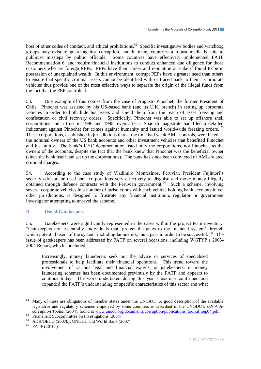host of other codes of conduct, and ethical prohibitions.<sup>52</sup> Specific investigative bodies and watchdog groups may exist to guard against corruption, and in many countries a robust media is able to publicise missteps by public officials. Some countries have effectively implemented FATF Recommendation 6, and require financial institutions to conduct enhanced due diligence for those customers who are foreign PEPs. PEPs have their career and reputation at stake if found to be in possession of unexplained wealth. In this environment, corrupt PEPs have a greater need than others to ensure that specific criminal assets cannot be identified with or traced back to them. Corporate vehicles thus provide one of the most effective ways to separate the origin of the illegal funds from the fact that the PEP controls it.

53. One example of this comes from the case of Augusto Pinochet, the former President of Chile. Pinochet was assisted by his US-based bank (and its U.K. branch) in setting up corporate vehicles in order to both hide his assets and shield them from the reach of asset freezing and confiscation or civil recovery orders. Specifically, Pinochet was able to set up offshore shell corporations and a trust in 1996 and 1998, even after a Spanish magistrate had filed a detailed indictment against Pinochet for crimes against humanity and issued world-wide freezing orders.<sup>53</sup> These corporations, established in jurisdictions that at the time had weak AML controls, were listed as the nominal owners of the US bank accounts and other investment vehicles that benefited Pinochet and his family. The bank's KYC documentation listed only the corporations, not Pinochet, as the owners of the accounts, despite the fact that the bank knew that Pinochet was the beneficial owner (since the bank itself had set up the corporations). The bank has since been convicted of AML-related criminal charges.

54. According to the case study of Vladimiro Montesinos, Peruvian President Fujimori's security advisor, he used shell corporations very effectively to disguise and move money illegally obtained through defence contracts with the Peruvian government.<sup>54</sup> Such a scheme, involving several corporate vehicles in a number of jurisdictions with each vehicle holding bank accounts in yet other jurisdictions, is designed to frustrate any financial institution, regulator or government investigator attempting to unravel the scheme.

#### **B. Use of Gatekeepers**

55. Gatekeepers were significantly represented in the cases within the project team inventory. ―Gatekeepers are, essentially, individuals that ‗protect the gates to the financial system' through which potential users of the system, including launderers, must pass in order to be successful."<sup>55</sup> The issue of gatekeepers has been addressed by FATF on several occasions, including WGTYP's 2003- 2004 Report, which concluded:

Increasingly, money launderers seek out the advice or services of specialised professionals to help facilitate their financial operations. This trend toward the involvement of various legal and financial experts, or gatekeepers, in money laundering schemes has been documented previously by the FATF and appears to continue today. The work undertaken during this year's exercise confirmed and expanded the FATF's understanding of specific characteristics of this sector and what

<sup>&</sup>lt;sup>52</sup> Many of these are obligations of member states under the UNCAC. A good description of the available legislative and regulatory schemes employed by some countries is described in the UNODC's *UN Anticorruption Toolkit* (2004), found at [www.unodc.org/documents/corruption/publications\\_toolkit\\_sep04.pdf.](http://www.unodc.org/documents/corruption/publications_toolkit_sep04.pdf)

 $53$  Permanent Subcommittee on Investigations (2004)

<sup>54</sup> ADB/OECD (2007b); UNODC and World Bank (2007)

<sup>55</sup> FATF (2010c)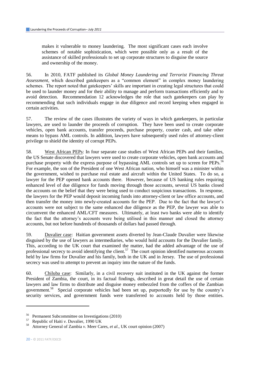makes it vulnerable to money laundering. The most significant cases each involve schemes of notable sophistication, which were possible only as a result of the assistance of skilled professionals to set up corporate structures to disguise the source and ownership of the money.

56. In 2010, FATF published its *Global Money Laundering and Terrorist Financing Threat Assessment*, which described gatekeepers as a "common element" in complex money laundering schemes. The report noted that gatekeepers' skills are important in creating legal structures that could be used to launder money and for their ability to manage and perform transactions efficiently and to avoid detection. Recommendation 12 acknowledges the role that such gatekeepers can play by recommending that such individuals engage in due diligence and record keeping when engaged in certain activities.

57. The review of the cases illustrates the variety of ways in which gatekeepers, in particular lawyers, are used to launder the proceeds of corruption. They have been used to create corporate vehicles, open bank accounts, transfer proceeds, purchase property, courier cash, and take other means to bypass AML controls. In addition, lawyers have subsequently used rules of attorney-client privilege to shield the identity of corrupt PEPs.

58. West African PEPs: In four separate case studies of West African PEPs and their families, the US Senate discovered that lawyers were used to create corporate vehicles, open bank accounts and purchase property with the express purpose of bypassing AML controls set up to screen for PEPs.<sup>56</sup> For example, the son of the President of one West African nation, who himself was a minister within the government, wished to purchase real estate and aircraft within the United States. To do so, a lawyer for the PEP opened bank accounts there. However, because of US banking rules requiring enhanced level of due diligence for funds moving through those accounts, several US banks closed the accounts on the belief that they were being used to conduct suspicious transactions. In response, the lawyers for the PEP would deposit incoming funds into attorney-client or law office accounts, and then transfer the money into newly-created accounts for the PEP. Due to the fact that the lawyer's accounts were not subject to the same enhanced due diligence as the PEP, the lawyer was able to circumvent the enhanced AML/CFT measures. Ultimately, at least two banks were able to identify the fact that the attorney's accounts were being utilised in this manner and closed the attorney accounts, but not before hundreds of thousands of dollars had passed through.

59. Duvalier case: Haitian government assets diverted by Jean-Claude Duvalier were likewise disguised by the use of lawyers as intermediaries, who would hold accounts for the Duvalier family. This, according to the UK court that examined the matter, had the added advantage of the use of professional secrecy to avoid identifying the client.<sup>57</sup> The court opinion identified numerous accounts held by law firms for Duvalier and his family, both in the UK and in Jersey. The use of professional secrecy was used to attempt to prevent an inquiry into the nature of the funds.

60. Chiluba case: Similarly, in a civil recovery suit instituted in the UK against the former President of Zambia, the court, in its factual findings, described in great detail the use of certain lawyers and law firms to distribute and disguise money embezzled from the coffers of the Zambian government.<sup>58</sup> Special corporate vehicles had been set up, purportedly for use by the country's security services, and government funds were transferred to accounts held by those entities.

<sup>&</sup>lt;sup>56</sup> Permanent Subcommittee on Investigations (2010)

<sup>57</sup> Republic of Haiti *v.* Duvalier, 1990 UK

<sup>58</sup> Attorney General of Zambia *v.* Meer Cares, *et al*., UK court opinion (2007)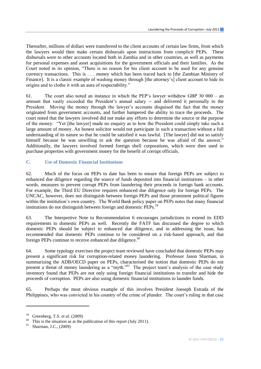Thereafter, millions of dollars were transferred to the client accounts of certain law firms, from which the lawyers would then make certain disbursals upon instructions from complicit PEPs. These disbursals were to other accounts located both in Zambia and in other countries, as well as payments for personal expenses and asset acquisitions for the government officials and their families. As the Court noted in its opinion, "There is no reason for his client account to be used for any genuine currency transactions. This is . . . money which has been traced back to [the Zambian Ministry of Finance]. It is a classic example of washing money through [the attorney's] client account to hide its origins and to clothe it with an aura of respectability."

61. The court also noted an instance in which the PEP's lawyer withdrew GBP 30 000 – an amount that vastly exceeded the President's annual salary -- and delivered it personally to the President. Moving the money through the lawyer's accounts disguised the fact that the money originated from government accounts, and further hampered the ability to trace the proceeds. The court noted that the lawyers involved did not make any efforts to determine the source or the purpose of the money: ―Yet [the lawyer] made no enquiry as to how the President could simply take such a large amount of money. An honest solicitor would not participate in such a transaction without a full understanding of its nature so that he could be satisfied it was lawful. [The lawyer] did not so satisfy himself because he was unwilling to ask the question because he was afraid of the answer." Additionally, the lawyers involved formed foreign shell corporations, which were then used to purchase properties with government money for the benefit of corrupt officials.

# **C. Use of Domestic Financial Institutions**

62. Much of the focus on PEPs to date has been to ensure that foreign PEPs are subject to enhanced due diligence regarding the source of funds deposited into financial institutions – in other words, measures to prevent corrupt PEPs from laundering their proceeds in foreign bank accounts. For example, the Third EU Directive requires enhanced due diligence only for foreign PEPs. The UNCAC, however, does not distinguish between foreign PEPs and those prominent political figures within the institution's own country. The World Bank policy paper on PEPs notes that many financial institutions do not distinguish between foreign and domestic PEPs.<sup>59</sup>

63. The Interpretive Note to Recommendation 6 encourages jurisdictions to extend its EDD requirements to domestic PEPs as well. Recently the FATF has discussed the degree to which domestic PEPs should be subject to enhanced due diligence, and in addressing the issue, has recommended that domestic PEPs continue to be considered on a risk-based approach, and that foreign PEPs continue to receive enhanced due diligence. $60$ 

64. Some typology exercises the project team reviewed have concluded that domestic PEPs may present a significant risk for corruption-related money laundering. Professor Jason Sharman, in summarizing the ADB/OECD paper on PEPs, characterised the notion that domestic PEPs do not present a threat of money laundering as a "myth."<sup>61</sup> The project team's analysis of the case study inventory found that PEPs are not only using foreign financial institutions to transfer and hide the proceeds of corruption. PEPs are also using domestic financial institutions to launder funds.

65. Perhaps the most obvious example of this involves President Joeseph Estrada of the Philippines, who was convicted in his country of the crime of plunder. The court's ruling in that case

<sup>59</sup> Greenberg, T.S. *et al*. (2009)

<sup>&</sup>lt;sup>60</sup> This is the situation as at the publication of this report (July 2011).

Sharman, J.C., (2009)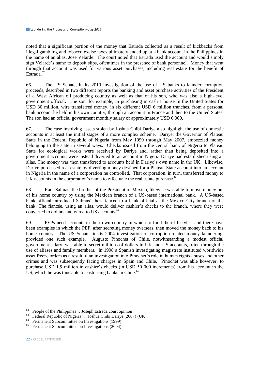noted that a significant portion of the money that Estrada collected as a result of kickbacks from illegal gambling and tobacco excise taxes ultimately ended up at a bank account in the Philippines in the name of an alias, Jose Velarde. The court noted that Estrada used the account and would simply sign Velarde's name to deposit slips, oftentimes in the presence of bank personnel. Money that went through that account was used for various asset purchases, including real estate for the benefit of Estrada.<sup>62</sup>

66. The US Senate, in its 2010 investigation of the use of US banks to launder corruption proceeds, described in two different reports the banking and asset purchase activities of the President of a West African oil producing country as well as that of his son, who was also a high-level government official. The son, for example, in purchasing in cash a house in the United States for USD 30 million, wire transferred money, in six different USD 6 million tranches, from a personal bank account he held in his own country, through an account in France and then to the United States. The son had an official government monthly salary of approximately USD 6 000.

67. The case involving assets stolen by Joshua Chibi Dariye also highlight the use of domestic accounts in at least the initial stages of a more complex scheme. Dariye, the Governor of Plateau State in the Federal Republic of Nigeria from May 1999 through May 2007, embezzled money belonging to the state in several ways. Checks issued from the central bank of Nigeria to Plateau State for ecological works were received by Dariye and, rather than being deposited into a government account, were instead diverted to an account in Nigeria Dariye had established using an alias. The money was then transferred to accounts held in Dariye's own name in the UK. Likewise, Dariye purchased real estate by diverting money destined for a Plateau State account into an account in Nigeria in the name of a corporation he controlled. That corporation, in turn, transferred money to UK accounts in the corporation's name to effectuate the real estate purchase.<sup>63</sup>

68. Raul Salinas, the brother of the President of Mexico, likewise was able to move money out of his home country by using the Mexican branch of a US-based international bank. A US-based bank official introduced Salinas' then-fiancée to a bank official at the Mexico City branch of the bank. The fiancée, using an alias, would deliver cashier's checks to the branch, where they were converted to dollars and wired to US accounts.<sup>64</sup>

69. PEPs need accounts in their own country in which to fund their lifestyles, and there have been examples in which the PEP, after secreting money overseas, then moved the money back to his home country. The US Senate, in its 2004 investigation of corruption-related money laundering, provided one such example. Augusto Pinochet of Chile, notwithstanding a modest official government salary, was able to secret millions of dollars in UK and US accounts, often through the use of aliases and family members. In 1998 a Spanish investigating magistrate instituted worldwide asset freeze orders as a result of an investigation into Pinochet's role in human rights abuses and other crimes and was subsequently facing charges in Spain and Chile. Pinochet was able however, to purchase USD 1.9 million in cashier's checks (in USD 50 000 increments) from his account in the US, which he was thus able to cash using banks in Chile.<sup>65</sup>

<sup>62</sup> People of the Philippines *v.* Joseph Estrada court opinion

<sup>63</sup> Federal Republic of Nigeria *v.* Joshua Chibi Dariye (2007) (UK)

<sup>&</sup>lt;sup>64</sup> Permanent Subcommittee on Investigations (1999)

Permanent Subcommittee on Investigations (2004)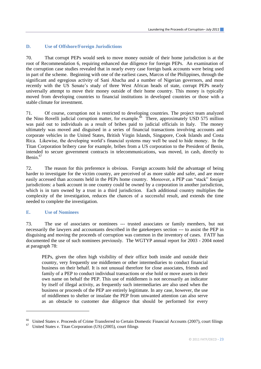#### **D. Use of Offshore/Foreign Jurisdictions**

70. That corrupt PEPs would seek to move money outside of their home jurisdiction is at the root of Recommendation 6, requiring enhanced due diligence for foreign PEPs. An examination of the corruption case studies revealed that in nearly every case foreign bank accounts were being used in part of the scheme. Beginning with one of the earliest cases, Marcos of the Philippines, through the significant and egregious activity of Sani Abacha and a number of Nigerian governors, and most recently with the US Senate's study of three West African heads of state, corrupt PEPs nearly universally attempt to move their money outside of their home country. This money is typically moved from developing countries to financial institutions in developed countries or those with a stable climate for investment.

71. Of course, corruption not is restricted to developing countries. The project team analyzed the Nino Rovelli judicial corruption matter, for example.<sup> $66$ </sup> There, approximately USD 575 million was paid out to individuals as a result of bribes paid to judicial officials in Italy. The money ultimately was moved and disguised in a series of financial transactions involving accounts and corporate vehicles in the United States, British Virgin Islands, Singapore, Cook Islands and Costa Rica. Likewise, the developing world's financial systems may well be used to hide money. In the Titan Corporation bribery case for example, bribes from a US corporation to the President of Benin, intended to secure government contracts in telecommunications, was moved, in cash, directly to Benin<sup>67</sup>

72. The reason for this preference is obvious. Foreign accounts hold the advantage of being harder to investigate for the victim country, are perceived of as more stable and safer, and are more easily accessed than accounts held in the PEPs home country. Moreover, a PEP can "stack" foreign jurisdictions: a bank account in one country could be owned by a corporation in another jurisdiction, which is in turn owned by a trust in a third jurisdiction. Each additional country multiplies the complexity of the investigation, reduces the chances of a successful result, and extends the time needed to complete the investigation.

#### **E. Use of Nominees**

 $\overline{a}$ 

73. The use of associates or nominees --- trusted associates or family members, but not necessarily the lawyers and accountants described in the gatekeepers section --- to assist the PEP in disguising and moving the proceeds of corruption was common in the inventory of cases. FATF has documented the use of such nominees previously. The WGTYP annual report for 2003 - 2004 noted at paragraph 78:

PEPs, given the often high visibility of their office both inside and outside their country, very frequently use middlemen or other intermediaries to conduct financial business on their behalf. It is not unusual therefore for close associates, friends and family of a PEP to conduct individual transactions or else hold or move assets in their own name on behalf the PEP. This use of middlemen is not necessarily an indicator by itself of illegal activity, as frequently such intermediaries are also used when the business or proceeds of the PEP are entirely legitimate. In any case, however, the use of middlemen to shelter or insulate the PEP from unwanted attention can also serve as an obstacle to customer due diligence that should be performed for every

<sup>&</sup>lt;sup>66</sup> United States *v*. Proceeds of Crime Transferred to Certain Domestic Financial Accounts (2007), court filings <sup>67</sup> United States *v*. Titan Corporation (US) (2005), court filings

United States *v*. Titan Corporation (US) (2005), court filings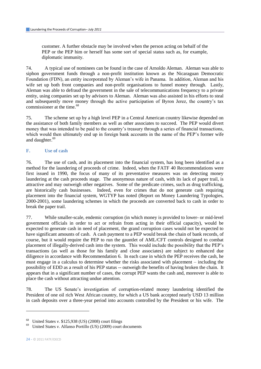customer. A further obstacle may be involved when the person acting on behalf of the PEP or the PEP him or herself has some sort of special status such as, for example, diplomatic immunity.

74. A typical use of nominees can be found in the case of Arnoldo Aleman. Aleman was able to siphon government funds through a non-profit institution known as the Nicaraguan Democratic Foundation (FDN), an entity incorporated by Aleman's wife in Panama. In addition, Aleman and his wife set up both front companies and non-profit organisations to funnel money through. Lastly, Aleman was able to defraud the government in the sale of telecommunications frequency to a private entity, using companies set up by advisors to Aleman. Aleman was also assisted in his efforts to steal and subsequently move money through the active participation of Byron Jerez, the country's tax commissioner at the time. $68$ 

75. The scheme set up by a high level PEP in a Central American country likewise depended on the assistance of both family members as well as other associates to succeed. The PEP would divert money that was intended to be paid to the country's treasury through a series of financial transactions, which would then ultimately end up in foreign bank accounts in the name of the PEP's former wife and daughter.<sup>69</sup>

# **F. Use of cash**

76. The use of cash, and its placement into the financial system, has long been identified as a method for the laundering of proceeds of crime. Indeed, when the FATF 40 Recommendations were first issued in 1990, the focus of many of its preventative measures was on detecting money laundering at the cash proceeds stage. The anonymous nature of cash, with its lack of paper trail, is attractive and may outweigh other negatives. Some of the predicate crimes, such as drug trafficking, are historically cash businesses. Indeed, even for crimes that do not generate cash requiring placement into the financial system, WGTYP has noted (Report on Money Laundering Typologies, 2000-2001), some laundering schemes in which the proceeds are converted back to cash in order to break the paper trail.

77. While smaller-scale, endemic corruption (in which money is provided to lower- or mid-level government officials in order to act or refrain from acting in their official capacity), would be expected to generate cash in need of placement, the grand corruption cases would not be expected to have significant amounts of cash. A cash payment to a PEP would break the chain of bank records, of course, but it would require the PEP to run the gauntlet of AML/CFT controls designed to combat placement of illegally-derived cash into the system. This would include the possibility that the PEP's transactions (as well as those for his family and close associates) are subject to enhanced due diligence in accordance with Recommendation 6. In each case in which the PEP receives the cash, he must engage in a calculus to determine whether the risks associated with placement – including the possibility of EDD as a result of his PEP status -- outweigh the benefits of having broken the chain. It appears that in a significant number of cases, the corrupt PEP wants the cash and, moreover is able to place the cash without attracting undue attention.

78. The US Senate's investigation of corruption-related money laundering identified the President of one oil rich West African country, for which a US bank accepted nearly USD 13 million in cash deposits over a three-year period into accounts controlled by the President or his wife. The

<sup>&</sup>lt;sup>68</sup> United States *v.*  $$125,938$  (US) (2008) court filings<br><sup>69</sup> United States *v.* Alfance Bertille (US) (2000) court

United States *v*. Alfanso Portillo (US) (2009) court documents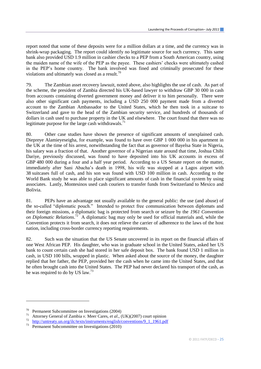report noted that some of these deposits were for a million dollars at a time, and the currency was in shrink-wrap packaging. The report could identify no legitimate source for such currency. This same bank also provided USD 1.9 million in cashier checks to a PEP from a South American country, using the maiden name of the wife of the PEP as the payee. These cashiers' checks were ultimately cashed in the PEP's home country. The bank involved was fined and criminally prosecuted for these violations and ultimately was closed as a result.<sup>70</sup>

79. The Zambian asset recovery lawsuit, noted above, also highlights the use of cash. As part of the scheme, the president of Zambia directed his UK-based lawyer to withdraw GBP 30 000 in cash from accounts containing diverted government money and deliver it to him personally. There were also other significant cash payments, including a USD 250 000 payment made from a diverted account to the Zambian Ambassador to the United States, which he then took in a suitcase to Switzerland and gave to the head of the Zambian security service, and hundreds of thousands of dollars in cash used to purchase property in the UK and elsewhere. The court found that there was no legitimate purpose for the large cash withdrawals.<sup>71</sup>

80. Other case studies have shown the presence of significant amounts of unexplained cash. Diepreye Alamieyeseigha, for example, was found to have over GBP 1 000 000 in his apartment in the UK at the time of his arrest, notwithstanding the fact that as governor of Bayelsa State in Nigeria, his salary was a fraction of that. Another governor of a Nigerian state around that time, Joshua Chibi Dariye, previously discussed, was found to have deposited into his UK accounts in excess of GBP 480 000 during a four and a half year period. According to a US Senate report on the matter, immediately after Sani Abacha's death in 1998, his wife was stopped at a Lagos airport with 38 suitcases full of cash, and his son was found with USD 100 million in cash. According to the World Bank study he was able to place significant amounts of cash in the financial system by using associates. Lastly, Montesinos used cash couriers to transfer funds from Switzerland to Mexico and Bolivia.

81. PEPs have an advantage not usually available to the general public: the use (and abuse) of the so-called "diplomatic pouch." Intended to protect free communication between diplomats and their foreign missions, a diplomatic bag is protected from search or seizure by the *1961 Convention*  on Diplomatic Relations.<sup>72</sup> A diplomatic bag may only be used for official materials and, while the Convention protects it from search, it does not relieve the carrier of adherence to the laws of the host nation, including cross-border currency reporting requirements.

82. Such was the situation that the US Senate uncovered in its report on the financial affairs of one West African PEP. His daughter, who was in graduate school in the United States, asked her US bank to count certain cash she had stored in her safe deposit box. The bank found USD 1 million in cash, in USD 100 bills, wrapped in plastic. When asked about the source of the money, the daughter replied that her father, the PEP, provided her the cash when he came into the United States, and that he often brought cash into the United States. The PEP had never declared his transport of the cash, as he was required to do by US law.<sup>73</sup>

<sup>&</sup>lt;sup>70</sup> Permanent Subcommittee on Investigations (2004)

<sup>71</sup> Attorney General of Zambia *v.* Meer Cares, *et al*., (UK)(2007) court opinion

 $\frac{72}{173}$  [http://untreaty.un.org/ilc/texts/instruments/english/conventions/9\\_1\\_1961.pdf](http://untreaty.un.org/ilc/texts/instruments/english/conventions/9_1_1961.pdf)

Permanent Subcommittee on Investigations (2010)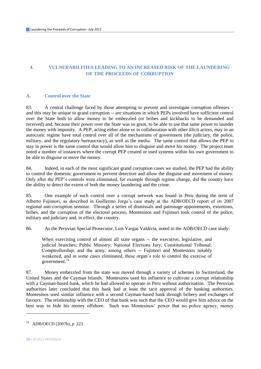# <span id="page-25-0"></span>**4. VULNERABILITIES LEADING TO AN INCREASED RISK OF THE LAUNDERING OF THE PROCEEDS OF CORRUPTION**

#### **A. Control over the State**

83. A central challenge faced by those attempting to prevent and investigate corruption offenses – and this may be unique to grand corruption -- are situations in which PEPs involved have sufficient control over the State both to allow money to be embezzled (or bribes and kickbacks to be demanded and received) and, because their power over the State was so great, to be able to use that same power to launder the money with impunity. A PEP, acting either alone or in collaboration with other illicit actors, may in an autocratic regime have total control over all of the mechanisms of government (the judiciary, the police, military, and the regulatory bureaucracy), as well as the media. The same control that allows the PEP to stay in power is the same control that would allow him to disguise and move his money. The project team noted a number of instances where the corrupt PEP created or used systems within his own government to be able to disguise or move the money.

84. Indeed, in each of the most significant grand corruption cases we studied, the PEP had the ability to control the domestic government to prevent detection and allow the disguise and movement of money. Only after the PEP's controls were eliminated, for example through regime change, did the country have the ability to detect the extent of both the money laundering and the crime.

85. One example of such control over a corrupt network was found in Peru during the term of Alberto Fujimori, as described in Guillermo Jorge's case study at the ADB/OECD report of its 2007 regional anti-corruption seminar. Through a series of dismissals and patronage appointments, extortions, bribes, and the corruption of the electoral process, Montesinos and Fujimori took control of the police, military and judiciary and, in effect, the country.

86. As the Peruvian Special Prosecutor, Luis Vargas Valdivia, noted in the ADB/OECD case study:

When exercising control of almost all state organs -- the executive, legislative, and judicial branches; Public Ministry; National Elections Jury; Constitutional Tribunal; Comptrollership; and the army, among others -- Fujimori and Montesinos notably weakened, and in some cases eliminated, these organ's role to control the exercise of government.<sup>74</sup>

87. Money embezzled from the state was moved through a variety of schemes to Switzerland, the United States and the Cayman Islands. Montesinos used his influence to cultivate a corrupt relationship with a Cayman-based bank, which he had allowed to operate in Peru without authorisation. The Peruvian authorities later concluded that this bank had at least the tacit approval of the banking authorities. Montesinos used similar influence with a second Cayman-based bank through bribery and exchanges of favours. The relationship with the CEO of that bank was such that the CEO would give him advice on the best way to hide his money offshore. Such was Montesinos' power that no police agency, money

<sup>74</sup> ADB/OECD (2007b), *p.* 223.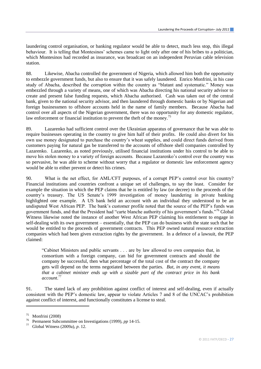laundering control organisation, or banking regulator would be able to detect, much less stop, this illegal behaviour. It is telling that Montesinos' schemes came to light only after one of his bribes to a politician, which Montesinos had recorded as insurance, was broadcast on an independent Peruvian cable television station.

88. Likewise, Abacha controlled the government of Nigeria, which allowed him both the opportunity to embezzle government funds, but also to ensure that it was safely laundered. Enrico Monfrini, in his case study of Abacha, described the corruption within the country as "blatant and systematic." Money was embezzled through a variety of means, one of which was Abacha directing his national security advisor to create and present false funding requests, which Abacha authorised. Cash was taken out of the central bank, given to the national security advisor, and then laundered through domestic banks or by Nigerian and foreign businessmen to offshore accounts held in the name of family members. Because Abacha had control over all aspects of the Nigerian government, there was no opportunity for any domestic regulator, law enforcement or financial institution to prevent the theft of the money.<sup>75</sup>

89. Lazarenko had sufficient control over the Ukrainian apparatus of governance that he was able to require businesses operating in the country to give him half of their profits. He could also divert for his own use money designated to purchase the country's wheat supplies, and could direct funds derived from customers paying for natural gas be transferred to the accounts of offshore shell companies controlled by Lazarenko. Lazarenko, as noted previously, utilised financial institutions under his control to be able to move his stolen money to a variety of foreign accounts. Because Lazarenko's control over the country was so pervasive, he was able to scheme without worry that a regulator or domestic law enforcement agency would be able to either prevent or detect his crimes.

90. What is the net effect, for AML/CFT purposes, of a corrupt PEP's control over his country? Financial institutions and countries confront a unique set of challenges, to say the least. Consider for example the situation in which the PEP claims that he is entitled by law (or decree) to the proceeds of the country's treasury. The US Senate's 1999 investigation of money laundering in private banking highlighted one example. A US bank held an account with an individual they understood to be an undisputed West African PEP. The bank's customer profile noted that the source of the PEP's funds was government funds, and that the President had "carte blanche authority of his government's funds."<sup>76</sup> Global Witness likewise noted the instance of another West African PEP claiming his entitlement to engage in self-dealing with its own government – essentially, that the PEP can do business with the state such that he would be entitled to the proceeds of government contracts. This PEP owned natural resource extraction companies which had been given extraction rights by the government. In a defence of a lawsuit, the PEP claimed:

―Cabinet Ministers and public servants . . . are by law allowed to own companies that, in consortium with a foreign company, can bid for government contracts and should the company be successful, then what percentage of the total cost of the contract the company gets will depend on the terms negotiated between the parties. *But, in any event, it means that a cabinet minister ends up with a sizable part of the contract price in his bank account*. 77

91. The stated lack of any prohibition against conflict of interest and self-dealing, even if actually consistent with the PEP's domestic law, appear to violate Articles 7 and 8 of the UNCAC's prohibition against conflict of interest, and functionally constitutes a license to steal.

 $^{75}$  Monfrini (2008)

<sup>&</sup>lt;sup>76</sup> Permanent Subcommittee on Investigations (1999), *pp* 14-15.<br><sup>77</sup> Clobal Witness (2000e), p. 12.

<sup>77</sup> Global Witness (2009a), *p*. 12.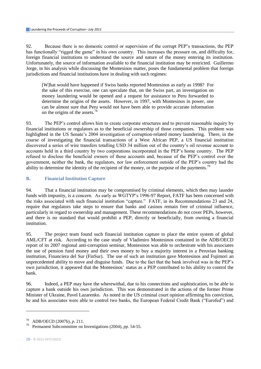92. Because there is no domestic control or supervision of the corrupt PEP's transactions, the PEP has functionally "rigged the game" in his own country. This increases the pressure on, and difficulty for, foreign financial institutions to understand the source and nature of the money entering its institution. Unfortunately, the source of information available to the financial institution may be restricted. Guillermo Jorge, in his analysis while discussing the Montesinos matter, poses the fundamental problem that foreign jurisdictions and financial institutions have in dealing with such regimes:

[W]hat would have happened if Swiss banks reported Montesinos as early as 1998? For the sake of this exercise, one can speculate that, on the Swiss part, an investigation on money laundering would be opened and a request for assistance to Peru forwarded to determine the origins of the assets. However, in 1997, with Montesinos in power, one can be almost sure that Peru would not have been able to provide accurate information on the origins of the assets.<sup>78</sup>

93. The PEP's control allows him to create corporate structures and to prevent reasonable inquiry by financial institutions or regulators as to the beneficial ownership of those companies. This problem was highlighted in the US Senate's 2004 investigation of corruption-related money laundering. There, in the course of investigating the financial transactions of a West African PEP, a US financial institution discovered a series of wire transfers totalling USD 34 million out of the country's oil revenue account to accounts held in a third country by two corporations incorporated in the PEP's home country. The PEP refused to disclose the beneficial owners of those accounts and, because of the PEP's control over the government, neither the bank, the regulators, nor law enforcement outside of the PEP's country had the ability to determine the identity of the recipient of the money, or the purpose of the payments.<sup>79</sup>

# **B. Financial Institution Capture**

94. That a financial institution may be compromised by criminal elements, which then may launder funds with impunity, is a concern. As early as WGTYP's 1996-97 Report, FATF has been concerned with the risks associated with such financial institution "capture." FATF, in its Recommendations 23 and 24, require that regulators take steps to ensure that banks and casinos remain free of criminal influence, particularly in regard to ownership and management. These recommendations do not cover PEPs, however, and there is no standard that would prohibit a PEP, directly or beneficially, from owning a financial institution.

95. The project team found such financial institution capture to place the entire system of global AML/CFT at risk. According to the case study of Vladimiro Montesinos contained in the ADB/OECD report of its 2007 regional anti-corruption seminar, Montesinos was able to orchestrate with his associates the use of pension fund money and their own money to buy a majority interest in a Peruvian banking institution, Financiera del Sur (FinSur). The use of such an institution gave Montesinos and Fujimori an unprecedented ability to move and disguise funds. Due to the fact that the bank involved was in the PEP's own jurisdiction, it appeared that the Montesinos' status as a PEP contributed to his ability to control the bank.

96. Indeed, a PEP may have the wherewithal, due to his connections and sophistication, to be able to capture a bank outside his own jurisdiction. This was demonstrated in the actions of the former Prime Minister of Ukraine, Pavel Lazarenko. As noted in the US criminal court opinion affirming his conviction, he and his associates were able to control two banks, the European Federal Credit Bank ("Eurofed") and

<sup>78</sup> ADB/OECD (2007b), *p.* 211.

Permanent Subcommittee on Investigations (2004), *pp.* 54-55.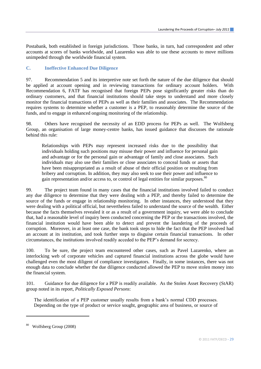Postabank, both established in foreign jurisdictions. Those banks, in turn, had correspondent and other accounts at scores of banks worldwide, and Lazarenko was able to use these accounts to move millions unimpeded through the worldwide financial system.

#### **C. Ineffective Enhanced Due Diligence**

97. Recommendation 5 and its interpretive note set forth the nature of the due diligence that should be applied at account opening and in reviewing transactions for ordinary account holders. With Recommendation 6, FATF has recognised that foreign PEPs pose significantly greater risks than do ordinary customers, and that financial institutions should take steps to understand and more closely monitor the financial transactions of PEPs as well as their families and associates. The Recommendation requires systems to determine whether a customer is a PEP, to reasonably determine the source of the funds, and to engage in enhanced ongoing monitoring of the relationship.

98. Others have recognised the necessity of an EDD process for PEPs as well. The Wolfsberg Group, an organisation of large money-centre banks, has issued guidance that discusses the rationale behind this rule:

Relationships with PEPs may represent increased risks due to the possibility that individuals holding such positions may misuse their power and influence for personal gain and advantage or for the personal gain or advantage of family and close associates. Such individuals may also use their families or close associates to conceal funds or assets that have been misappropriated as a result of abuse of their official position or resulting from bribery and corruption. In addition, they may also seek to use their power and influence to gain representation and/or access to, or control of legal entities for similar purposes.<sup>80</sup>

99. The project team found in many cases that the financial institutions involved failed to conduct any due diligence to determine that they were dealing with a PEP, and thereby failed to determine the source of the funds or engage in relationship monitoring. In other instances, they understood that they were dealing with a political official, but nevertheless failed to understand the source of the wealth. Either because the facts themselves revealed it or as a result of a government inquiry, we were able to conclude that, had a reasonable level of inquiry been conducted concerning the PEP or the transactions involved, the financial institution would have been able to detect and prevent the laundering of the proceeds of corruption. Moreover, in at least one case, the bank took steps to hide the fact that the PEP involved had an account at its institution, and took further steps to disguise certain financial transactions. In other circumstances, the institutions involved readily acceded to the PEP's demand for secrecy.

100. To be sure, the project team encountered other cases, such as Pavel Lazarenko, where an interlocking web of corporate vehicles and captured financial institutions across the globe would have challenged even the most diligent of compliance investigators. Finally, in some instances, there was not enough data to conclude whether the due diligence conducted allowed the PEP to move stolen money into the financial system.

101. Guidance for due diligence for a PEP is readily available. As the Stolen Asset Recovery (StAR) group noted in its report, *Politically Exposed Persons*:

The identification of a PEP customer usually results from a bank's normal CDD processes. Depending on the type of product or service sought, geographic area of business, or source of

<sup>80</sup> Wolfsberg Group (2008)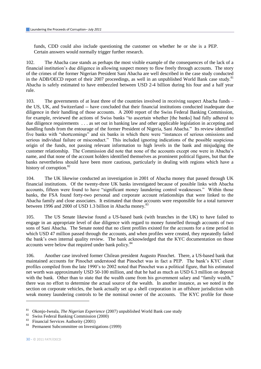funds, CDD could also include questioning the customer on whether he or she is a PEP. Certain answers would normally trigger further research.

102. The Abacha case stands as perhaps the most visible example of the consequences of the lack of a financial institution's due diligence in allowing suspect money to flow freely through accounts. The story of the crimes of the former Nigerian President Sani Abacha are well described in the case study conducted in the ADB/OECD report of their 2007 proceedings, as well in an unpublished World Bank case study.<sup>81</sup> Abacha is safely estimated to have embezzled between USD 2-4 billion during his four and a half year rule.

103. The governments of at least three of the countries involved in receiving suspect Abacha funds – the US, UK, and Switzerland -- have concluded that their financial institutions conducted inadequate due diligence in their handling of those accounts. A 2000 report of the Swiss Federal Banking Commission, for example, reviewed the actions of Swiss banks "to ascertain whether [the banks] had fully adhered to due diligence requirements . . . as set out in banking law and other applicable legislation in accepting and handling funds from the entourage of the former President of Nigeria, Sani Abacha." Its review identified five banks with "shortcomings" and six banks in which there were "instances of serious omissions and serious individual failure or misconduct." This included ignoring indications of the possible suspicious origin of the funds, not passing relevant information to high levels in the bank and misjudging the customer relationship. The Commission did note that none of the accounts except one were in Abacha's name, and that none of the account holders identified themselves as prominent political figures, but that the banks nevertheless should have been more cautious, particularly in dealing with regions which have a history of corruption. $82$ 

104. The UK likewise conducted an investigation in 2001 of Abacha money that passed through UK financial institutions. Of the twenty-three UK banks investigated because of possible links with Abacha accounts, fifteen were found to have "significant money laundering control weaknesses." Within those banks, the FSA found forty-two personal and corporate account relationships that were linked to the Abacha family and close associates. It estimated that those accounts were responsible for a total turnover between 1996 and 2000 of USD 1.3 billion in Abacha money.<sup>83</sup>

105. The US Senate likewise found a US-based bank (with branches in the UK) to have failed to engage in an appropriate level of due diligence with regard to money funnelled through accounts of two sons of Sani Abacha. The Senate noted that no client profiles existed for the accounts for a time period in which USD 47 million passed through the accounts, and when profiles were created, they repeatedly failed the bank's own internal quality review. The bank acknowledged that the KYC documentation on those accounts were below that required under bank policy.<sup>84</sup>

106. Another case involved former Chilean president Augusto Pinochet. There, a US-based bank that maintained accounts for Pinochet understood that Pinochet was in fact a PEP. The bank's KYC client profiles compiled from the late 1990's to 2002 noted that Pinochet was a political figure, that his estimated net worth was approximately USD 50-100 million, and that he had as much as USD 6.3 million on deposit with the bank. Other than to state that the wealth came from his government salary and "family wealth," there was no effort to determine the actual source of the wealth. In another instance, as we noted in the section on corporate vehicles, the bank actually set up a shell corporation in an offshore jurisdiction with weak money laundering controls to be the nominal owner of the accounts. The KYC profile for those

<sup>&</sup>lt;sup>81</sup> Okonjo-Iweala, *The Nigerian Experience* (2007) unpublished World Bank case study

<sup>&</sup>lt;sup>82</sup> Swiss Federal Banking Commission (2000)

 $^{83}$  Financial Services Authority (2001)

Permanent Subcommittee on Investigations (1999)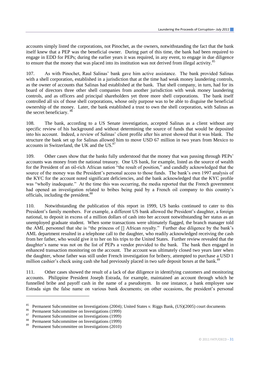accounts simply listed the corporations, not Pinochet, as the owners, notwithstanding the fact that the bank itself knew that a PEP was the beneficial owner. During part of this time, the bank had been required to engage in EDD for PEPs; during the earlier years it was required, in any event, to engage in due diligence to ensure that the money that was placed into its institution was not derived from illegal activity.<sup>85</sup>

107. As with Pinochet, Raul Salinas' bank gave him active assistance. The bank provided Salinas with a shell corporation, established in a jurisdiction that at the time had weak money laundering controls, as the owner of accounts that Salinas had established at the bank. That shell company, in turn, had for its board of directors three other shell companies from another jurisdiction with weak money laundering controls, and as officers and principal shareholders yet three more shell corporations. The bank itself controlled all six of those shell corporations, whose only purpose was to be able to disguise the beneficial ownership of the money. Later, the bank established a trust to own the shell corporation, with Salinas as the secret beneficiary. <sup>86</sup>

108. The bank, according to a US Senate investigation, accepted Salinas as a client without any specific review of his background and without determining the source of funds that would be deposited into his account. Indeed, a review of Salinas' client profile after his arrest showed that it was blank. The structure the bank set up for Salinas allowed him to move USD 67 million in two years from Mexico to accounts in Switzerland, the UK and the US.<sup>87</sup>

109. Other cases show that the banks fully understood that the money that was passing through PEPs' accounts was money from the national treasury. One US bank, for example, listed as the source of wealth for the President of an oil-rich African nation "the result of position," and candidly acknowledged that the source of the money was the President's personal access to those funds. The bank's own 1997 analysis of the KYC for the account noted significant deficiencies, and the bank acknowledged that the KYC profile was "wholly inadequate." At the time this was occurring, the media reported that the French government had opened an investigation related to bribes being paid by a French oil company to this country's officials, including the president.<sup>88</sup>

110. Notwithstanding the publication of this report in 1999, US banks continued to cater to this President's family members. For example, a different US bank allowed the President's daughter, a foreign national, to deposit in excess of a million dollars of cash into her account notwithstanding her status as an unemployed graduate student. When some transactions were ultimately flagged, the branch manager told the AML personnel that she is "the princess of  $\prod$  African royalty." Further due diligence by the bank's AML department resulted in a telephone call to the daughter, who readily acknowledged receiving the cash from her father, who would give it to her on his trips to the United States. Further review revealed that the daughter's name was not on the list of PEPs a vendor provided to the bank. The bank then engaged in enhanced transaction monitoring on the account. The account was ultimately closed two years later when the daughter, whose father was still under French investigation for bribery, attempted to purchase a USD 1 million cashier's check using cash she had previously placed in two safe deposit boxes at the bank.<sup>89</sup>

111. Other cases showed the result of a lack of due diligence in identifying customers and monitoring accounts. Philippine President Joseph Estrada, for example, maintained an account through which he funnelled bribe and payoff cash in the name of a pseudonym. In one instance, a bank employee saw Estrada sign the false name on various bank documents; on other occasions, the president's personal

<sup>85</sup> Permanent Subcommittee on Investigations (2004); United States *v.* Riggs Bank, (US)(2005) court documents

<sup>86</sup> Permanent Subcommittee on Investigations (1999)

 $\frac{87}{88}$  Permanent Subcommittee on Investigations (1999)

<sup>&</sup>lt;sup>88</sup> Permanent Subcommittee on Investigations (1999)

Permanent Subcommittee on Investigations (2010)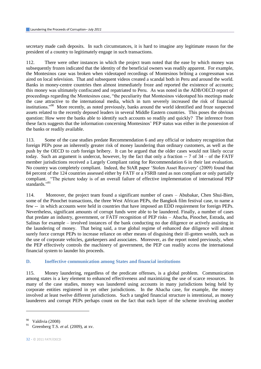secretary made cash deposits. In such circumstances, it is hard to imagine any legitimate reason for the president of a country to legitimately engage in such transactions.

112. There were other instances in which the project team noted that the ease by which money was subsequently frozen indicated that the identity of the beneficial owners was readily apparent. For example, the Montesinos case was broken when videotaped recordings of Montesinos bribing a congressman was aired on local television. That and subsequent videos created a scandal both in Peru and around the world. Banks in money-centre countries then almost immediately froze and reported the existence of accounts; this money was ultimately confiscated and repatriated to Peru. As was noted in the ADB/OECD report of proceedings regarding the Montesinos case, "the peculiarity that Montesinos videotaped his meetings made the case attractive to the international media, which in turn severely increased the risk of financial institutions."<sup>90</sup> More recently, as noted previously, banks around the world identified and froze suspected assets related to the recently deposed leaders in several Middle Eastern countries. This poses the obvious question: How were the banks able to identify such accounts so readily and quickly? The inference from these facts suggests that the information concerning Montesinos' PEP status was either in the possession of the banks or readily available.

113. Some of the case studies predate Recommendation 6 and any official or industry recognition that foreign PEPs pose an inherently greater risk of money laundering than ordinary customers, as well as the push by the OECD to curb foreign bribery. It can be argued that the older cases would not likely occur today. Such an argument is undercut, however, by the fact that only a fraction -- 7 of 34 – of the FATF member jurisdictions received a Largely Compliant rating for Recommendation 6 in their last evaluation. No country was completely compliant. Indeed, the StAR paper 'Stolen Asset Recovery' (2009) found that 84 percent of the 124 countries assessed either by FATF or a FSRB rated as non compliant or only partially compliant. "The picture today is of an overall failure of effective implementation of international PEP standards."<sup>91</sup>

114. Moreover, the project team found a significant number of cases – Abubakar, Chen Shui-Bien, some of the Pinochet transactions, the three West African PEPs, the Bangkok film festival case, to name a few -- in which accounts were held in countries that have imposed an EDD requirement for foreign PEPs. Nevertheless, significant amounts of corrupt funds were able to be laundered. Finally, a number of cases that predate an industry, government, or FATF recognition of PEP risks – Abacha, Pinochet, Estrada, and Salinas for example – involved instances of the bank conducting no due diligence or actively assisting in the laundering of money. That being said, a true global regime of enhanced due diligence will almost surely force corrupt PEPs to increase reliance on other means of disguising their ill-gotten wealth, such as the use of corporate vehicles, gatekeepers and associates. Moreover, as the report noted previously, when the PEP effectively controls the machinery of government, the PEP can readily access the international financial system to launder his proceeds.

#### **D. Ineffective communication among States and financial institutions**

115. Money laundering, regardless of the predicate offenses, is a global problem. Communication among states is a key element to enhanced effectiveness and maximizing the use of scarce resources. In many of the case studies, money was laundered using accounts in many jurisdictions being held by corporate entities registered in yet other jurisdictions. In the Abacha case, for example, the money involved at least twelve different jurisdictions. Such a tangled financial structure is intentional, as money launderers and corrupt PEPs perhaps count on the fact that each layer of the scheme involving another

<sup>90</sup> Valdivia (2008)

Greenberg T.S. *et al.* (2009), at xv.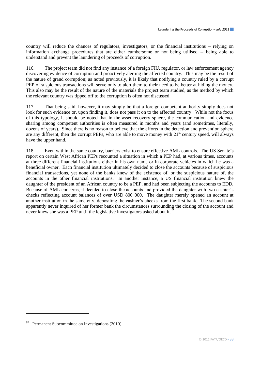country will reduce the chances of regulators, investigators, or the financial institutions – relying on information exchange procedures that are either cumbersome or not being utilised -- being able to understand and prevent the laundering of proceeds of corruption.

116. The project team did not find any instance of a foreign FIU, regulator, or law enforcement agency discovering evidence of corruption and proactively alerting the affected country. This may be the result of the nature of grand corruption; as noted previously, it is likely that notifying a country ruled by a corrupt PEP of suspicious transactions will serve only to alert them to their need to be better at hiding the money. This also may be the result of the nature of the materials the project team studied, as the method by which the relevant country was tipped off to the corruption is often not discussed.

117. That being said, however, it may simply be that a foreign competent authority simply does not look for such evidence or, upon finding it, does not pass it on to the affected country. While not the focus of this typology, it should be noted that in the asset recovery sphere, the communication and evidence sharing among competent authorities is often measured in months and years (and sometimes, literally, dozens of years). Since there is no reason to believe that the efforts in the detection and prevention sphere are any different, then the corrupt PEPs, who are able to move money with  $21<sup>st</sup>$  century speed, will always have the upper hand.

118. Even within the same country, barriers exist to ensure effective AML controls. The US Senate's report on certain West African PEPs recounted a situation in which a PEP had, at various times, accounts at three different financial institutions either in his own name or in corporate vehicles in which he was a beneficial owner. Each financial institution ultimately decided to close the accounts because of suspicious financial transactions, yet none of the banks knew of the existence of, or the suspicious nature of, the accounts in the other financial institutions. In another instance, a US financial institution knew the daughter of the president of an African country to be a PEP, and had been subjecting the accounts to EDD. Because of AML concerns, it decided to close the accounts and provided the daughter with two cashier's checks reflecting account balances of over USD 800 000. The daughter merely opened an account at another institution in the same city, depositing the cashier's checks from the first bank. The second bank apparently never inquired of her former bank the circumstances surrounding the closing of the account and never knew she was a PEP until the legislative investigators asked about it.<sup>92</sup>

Permanent Subcommittee on Investigations (2010)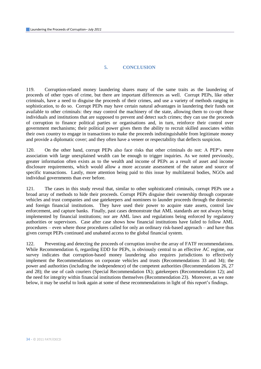#### **5. CONCLUSION**

<span id="page-33-0"></span>119. Corruption-related money laundering shares many of the same traits as the laundering of proceeds of other types of crime, but there are important differences as well. Corrupt PEPs, like other criminals, have a need to disguise the proceeds of their crimes, and use a variety of methods ranging in sophistication, to do so. Corrupt PEPs may have certain natural advantages in laundering their funds not available to other criminals: they may control the machinery of the state, allowing them to co-opt those individuals and institutions that are supposed to prevent and detect such crimes; they can use the proceeds of corruption to finance political parties or organisations and, in turn, reinforce their control over government mechanisms; their political power gives them the ability to recruit skilled associates within their own country to engage in transactions to make the proceeds indistinguishable from legitimate money and provide a diplomatic cover; and they often have a veneer or respectability that deflects suspicion.

120. On the other hand, corrupt PEPs also face risks that other criminals do not: A PEP's mere association with large unexplained wealth can be enough to trigger inquiries. As we noted previously, greater information often exists as to the wealth and income of PEPs as a result of asset and income disclosure requirements, which would allow a more accurate assessment of the nature and source of specific transactions. Lastly, more attention being paid to this issue by multilateral bodies, NGOs and individual governments than ever before.

121. The cases in this study reveal that, similar to other sophisticated criminals, corrupt PEPs use a broad array of methods to hide their proceeds. Corrupt PEPs disguise their ownership through corporate vehicles and trust companies and use gatekeepers and nominees to launder proceeds through the domestic and foreign financial institutions. They have used their power to acquire state assets, control law enforcement, and capture banks. Finally, past cases demonstrate that AML standards are not always being implemented by financial institutions; nor are AML laws and regulations being enforced by regulatory authorities or supervisors. Case after case shows how financial institutions have failed to follow AML procedures – even where those procedures called for only an ordinary risk-based approach – and have thus given corrupt PEPs continued and unabated access to the global financial system.

122. Preventing and detecting the proceeds of corruption involve the array of FATF recommendations. While Recommendation 6, regarding EDD for PEPs, is obviously central to an effective AC regime, our survey indicates that corruption-based money laundering also requires jurisdictions to effectively implement the Recommendations on corporate vehicles and trusts (Recommendations 33 and 34); the power and authorities (including the independence) of the competent authorities (Recommendations 26, 27 and 28); the use of cash couriers (Special Recommendation IX); gatekeepers (Recommendation 12); and the need for integrity within financial institutions themselves (Recommendation 23). Moreover, as we note below, it may be useful to look again at some of these recommendations in light of this report's findings.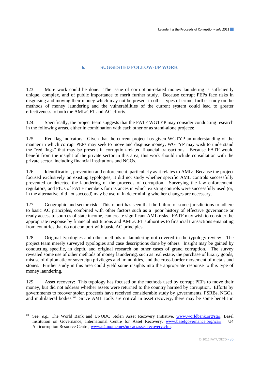# **6. SUGGESTED FOLLOW-UP WORK**

<span id="page-34-0"></span>123. More work could be done. The issue of corruption-related money laundering is sufficiently unique, complex, and of public importance to merit further study. Because corrupt PEPs face risks in disguising and moving their money which may not be present in other types of crime, further study on the methods of money laundering and the vulnerabilities of the current system could lead to greater effectiveness to both the AML/CFT and AC efforts.

124. Specifically, the project team suggests that the FATF WGTYP may consider conducting research in the following areas, either in combination with each other or as stand-alone projects:

125. Red flag indicators: Given that the current project has given WGTYP an understanding of the manner in which corrupt PEPs may seek to move and disguise money, WGTYP may wish to understand the "red flags" that may be present in corruption-related financial transactions. Because FATF would benefit from the insight of the private sector in this area, this work should include consultation with the private sector, including financial institutions and NGOs.

126. Identification, prevention and enforcement, particularly as it relates to AML: Because the project focused exclusively on existing typologies, it did not study whether specific AML controls successfully prevented or detected the laundering of the proceeds of corruption. Surveying the law enforcement, regulators, and FIUs of FATF members for instances in which existing controls were successfully used (or, in the alternative, did not succeed) may be useful in determining whether changes are necessary.

127. Geographic and sector risk: This report has seen that the failure of some jurisdictions to adhere to basic AC principles, combined with other factors such as a poor history of effective governance or ready access to sources of state income, can create significant AML risks. FATF may wish to consider the appropriate response by financial institutions and AML/CFT authorities to financial transactions emanating from countries that do not comport with basic AC principles.

128. Original typologies and other methods of laundering not covered in the typology review: The project team merely surveyed typologies and case descriptions done by others. Insight may be gained by conducting specific, in depth, and original research on other cases of grand corruption. The survey revealed some use of other methods of money laundering, such as real estate, the purchase of luxury goods, misuse of diplomatic or sovereign privileges and immunities, and the cross-border movement of metals and stones. Further study in this area could yield some insights into the appropriate response to this type of money laundering.

129. Asset recovery: This typology has focused on the methods used by corrupt PEPs to move their money, but did not address whether assets were returned to the country harmed by corruption. Efforts by governments to recover stolen proceeds have received considerable study by governments, FSRBs, NGOs, and multilateral bodies.<sup>93</sup> Since AML tools are critical in asset recovery, there may be some benefit in

<sup>93</sup> See, *e.g.*, The World Bank and UNODC Stolen Asset Recovery Initiative, [www.worldbank.org/star;](http://www.worldbank.org/star) Basel Institution on Governance, International Centre for Asset Recovery, [www.baselgovernance.org/icar/;](http://www.baselgovernance.org/icar/) U4 Anticorruption Resource Centre, [www.u4.no/themes/uncac/asset-recovery.cfm.](http://www.u4.no/themes/uncac/asset-recovery.cfm)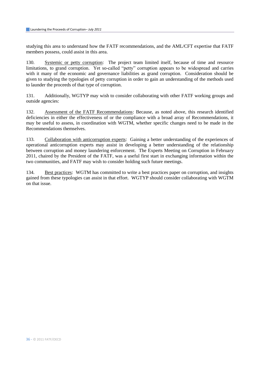studying this area to understand how the FATF recommendations, and the AML/CFT expertise that FATF members possess, could assist in this area.

130. Systemic or petty corruption: The project team limited itself, because of time and resource limitations, to grand corruption. Yet so-called "petty" corruption appears to be widespread and carries with it many of the economic and governance liabilities as grand corruption. Consideration should be given to studying the typologies of petty corruption in order to gain an understanding of the methods used to launder the proceeds of that type of corruption.

131. Additionally, WGTYP may wish to consider collaborating with other FATF working groups and outside agencies:

132. Assessment of the FATF Recommendations: Because, as noted above, this research identified deficiencies in either the effectiveness of or the compliance with a broad array of Recommendations, it may be useful to assess, in coordination with WGTM, whether specific changes need to be made in the Recommendations themselves.

133. Collaboration with anticorruption experts: Gaining a better understanding of the experiences of operational anticorruption experts may assist in developing a better understanding of the relationship between corruption and money laundering enforcement. The Experts Meeting on Corruption in February 2011, chaired by the President of the FATF, was a useful first start in exchanging information within the two communities, and FATF may wish to consider holding such future meetings.

134. Best practices: WGTM has committed to write a best practices paper on corruption, and insights gained from these typologies can assist in that effort. WGTYP should consider collaborating with WGTM on that issue.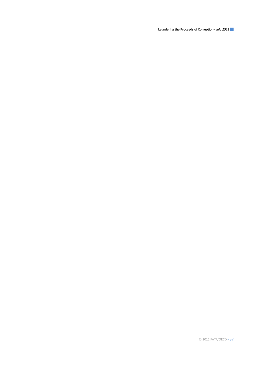Laundering the Proceeds of Corruption– *July 2011*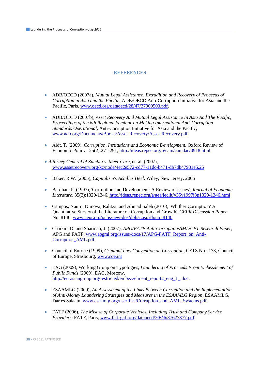#### **REFERENCES**

- <span id="page-37-0"></span> ADB/OECD (2007a), *Mutual Legal Assistance, Extradition and Recovery of Proceeds of Corruption in Asia and the Pacific*, ADB/OECD Anti-Corruption Initiative for Asia and the Pacific, Paris, [www.oecd.org/dataoecd/28/47/37900503.pdf.](http://www.oecd.org/dataoecd/28/47/37900503.pdf)
- ADB/OECD (2007b), *Asset Recovery And Mutual Legal Assistance In Asia And The Pacific, Proceedings of the 6th Regional Seminar on Making International Anti-Corruption Standards Operational,* Anti-Corruption Initiative for Asia and the Pacific, [www.adb.org/Documents/Books/Asset-Recovery/Asset-Recovery.pdf](http://www.adb.org/Documents/Books/Asset-Recovery/Asset-Recovery.pdf)
- Aidt, T. (2009), *Corruption, Institutions and Economic Development,* Oxford Review of Economic Policy, 25(2):271-291,<http://ideas.repec.org/p/cam/camdae/0918.html>
- *Attorney General of Zambia v. Meer Care*, et. al, (2007), [www.assetrecovery.org/kc/node/4ec2e572-cd77-11dc-b471-db7db47931e5.25](http://www.assetrecovery.org/kc/node/4ec2e572-cd77-11dc-b471-db7db47931e5.25)
- Baker, R.W. (2005), *Capitalism's Achilles Heel,* Wiley, New Jersey, 2005
- Bardhan, P. (1997), 'Corruption and Development: A Review of Issues', *Journal of Economic Literature***,** 35(3):1320-1346,<http://ideas.repec.org/a/aea/jeclit/v35y1997i3p1320-1346.html>
- Campos, Nauro, Dimova, Ralitza, and Ahmad Saleh (2010), 'Whither Corruption? A Quantitative Survey of the Literature on Corruption and Growth'*, CEPR Discussion Paper*  No. 8140, [www.cepr.org/pubs/new-dps/dplist.asp?dpno=8140](http://www.cepr.org/pubs/new-dps/dplist.asp?dpno=8140)
- Chaikin, D. and Sharman, J. (2007), *APG/FATF Anti-Corruption/AML/CFT Research Paper*, APG and FATF, [www.apgml.org/issues/docs/17/APG-FATF\\_Report\\_on\\_Anti-](http://www.apgml.org/issues/docs/17/APG-FATF_Report_on_Anti-Corruption_AML.pdf)[Corruption\\_AML.pdf.](http://www.apgml.org/issues/docs/17/APG-FATF_Report_on_Anti-Corruption_AML.pdf)
- Council of Europe (1999), *Criminal Law Convention on Corruption*, CETS No.: 173, Council of Europe, Strasbourg, [www.coe.int](http://www.coe.int/)
- EAG (2009), Working Group on Typologies, *Laundering of Proceeds From Embezzlement of Public Funds* (2009), EAG, Moscow, [http://eurasiangroup.org/restricted/embezzelment\\_report2\\_eng\\_1\\_.doc.](http://eurasiangroup.org/restricted/embezzelment_report2_eng_1_.doc)
- ESAAMLG (2009), *An Assessment of the Links Between Corruption and the Implementation of Anti-Money Laundering Strategies and Measures in the ESAAMLG Region*, ESAAMLG, Dar es Salaam, [www.esaamlg.org/userfiles/Corruption\\_and\\_AML\\_Systems.pdf.](http://www.esaamlg.org/userfiles/Corruption_and_AML_Systems.pdf)
- FATF (2006), *The Misuse of Corporate Vehicles, Including Trust and Company Service Providers*, FATF, Paris, [www.fatf-gafi.org/dataoecd/30/46/37627377.pdf](http://www.fatf-gafi.org/dataoecd/30/46/37627377.pdf)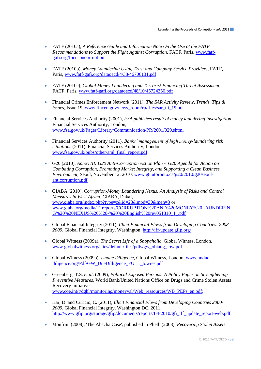- FATF (2010a), *A Reference Guide and Information Note On the Use of the FATF Recommendations to Support the Fight Against Corruption*, FATF, Paris, [www.fatf](http://www.fatf-gafi.org/focusoncorruption)[gafi.org/focusoncorruption](http://www.fatf-gafi.org/focusoncorruption)
- FATF (2010b), *Money Laundering Using Trust and Company Service Providers*, FATF, Paris, [www.fatf-gafi.org/dataoecd/4/38/46706131.pdf](http://www.fatf-gafi.org/dataoecd/4/38/46706131.pdf)
- FATF (2010c), *Global Money Laundering and Terrorist Financing Threat Assessment,*  FATF, Paris, [www.fatf-gafi.org/dataoecd/48/10/45724350.pdf](http://www.fatf-gafi.org/dataoecd/48/10/45724350.pdf)
- Financial Crimes Enforcement Network (2011), *The SAR Activity Review, Trends, Tips & issues*, Issue 19, [www.fincen.gov/news\\_room/rp/files/sar\\_tti\\_19.pdf.](http://www.fincen.gov/news_room/rp/files/sar_tti_19.pdf)
- Financial Services Authority (2001), *FSA publishes result of money laundering investigation,* Financial Services Authority, London, [www.fsa.gov.uk/Pages/Library/Communication/PR/2001/029.shtml](http://www.fsa.gov.uk/Pages/Library/Communication/PR/2001/029.shtml)
- Financial Services Authority (2011), *Banks' management of high money-laundering risk situations* (2011), Financial Services Authority, London, [www.fsa.gov.uk/pubs/other/aml\\_final\\_report.pdf](http://www.fsa.gov.uk/pubs/other/aml_final_report.pdf)
- G20 (2010), *Annex III: G20 Anti-Corruption Action Plan G20 Agenda for Action on Combating Corruption, Promoting Market Integrity, and Supporting a Clean Business Environment*, Seoul, November 12, 2010, [www.g8.utoronto.ca/g20/2010/g20seoul](http://www.g8.utoronto.ca/g20/2010/g20seoul-anticorruption.pdf)[anticorruption.pdf](http://www.g8.utoronto.ca/g20/2010/g20seoul-anticorruption.pdf)
- GIABA (2010), *Corruption-Money Laundering Nexus: An Analysis of Risks and Control Measures in West Africa*, GIABA, Dakar, [www.giaba.org/index.php?type=c&id=23&mod=30&men=3](http://www.giaba.org/index.php?type=c&id=23&mod=30&men=3) or [www.giaba.org/media/T\\_reports/CORRUPTION%20AND%20MONEY%20LAUNDERIN](http://www.giaba.org/media/T_reports/CORRUPTION%20AND%20MONEY%20LAUNDERING%20%20NEXUS%20%20-%20%20English%20rev051810_1_.pdf) [G%20%20NEXUS%20%20-%20%20English%20rev051810\\_1\\_.pdf](http://www.giaba.org/media/T_reports/CORRUPTION%20AND%20MONEY%20LAUNDERING%20%20NEXUS%20%20-%20%20English%20rev051810_1_.pdf)
- Global Financial Integrity (2011), *Illicit Financial Flows from Developing Countries: 2008- 2009,* Global Financial Integrity, Washington,<http://iff-update.gfip.org/>
- Global Witness (2009a), *The Secret Life of a Shopaholic*, Global Witness, London, [www.globalwitness.org/sites/default/files/pdfs/gw\\_obiang\\_low.pdf.](http://www.globalwitness.org/sites/default/files/pdfs/gw_obiang_low.pdf)
- Global Witness (2009b), *Undue Diligence,* Global Witness, London, [www.undue](http://www.undue-diligence.org/Pdf/GW_DueDilligence_FULL_lowres.pdf)[diligence.org/Pdf/GW\\_DueDilligence\\_FULL\\_lowres.pdf](http://www.undue-diligence.org/Pdf/GW_DueDilligence_FULL_lowres.pdf)
- Greenberg, T.S. *et al*. (2009), *Political Exposed Persons: A Policy Paper on Strengthening Preventive Measures*, World Bank/United Nations Office on Drugs and Crime Stolen Assets Recovery Initiative, [www.coe.int/t/dghl/monitoring/moneyval/Web\\_ressources/WB\\_PEPs\\_en.pdf;](http://www.coe.int/t/dghl/monitoring/moneyval/Web_ressources/WB_PEPs_en.pdf)
- Kar, D. and Curicio, C. (2011), *Illicit Financial Flows from Developing Countries 2000- 2009*, Global Financial Integrity, Washington DC, 2011, [http://www.gfip.org/storage/gfip/documents/reports/IFF2010/gfi\\_iff\\_update\\_report-web.pdf.](http://www.gfip.org/storage/gfip/documents/reports/IFF2010/gfi_iff_update_report-web.pdf)
- Monfrini (2008), 'The Abacha Case', published in Plieth (2008), *Recovering Stolen Assets*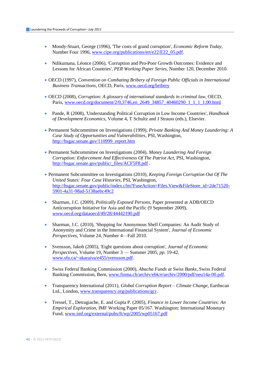- Moody-Stuart, George (1996), 'The costs of grand corruption', *Economic Reform Today*, Number Four 1996, [www.cipe.org/publications/ert/e22/E22\\_05.pdf.](http://www.cipe.org/publications/ert/e22/E22_05.pdf)
- Ndikumana, Léonce (2006), 'Corruption and Pro-Poor Growth Outcomes: Evidence and Lessons for African Countries', *PER Working Paper Series*, Number 120, December 2010.
- OECD (1997), *Convention on Combating Bribery of Foreign Public Officials in International Business Transactions*, OECD, Paris, [www.oecd.org/bribery](http://www.oecd.org/bribery)
- OECD (2008), *Corruption: A glossary of international standards in criminal law*, OECD, Paris, [www.oecd.org/document/2/0,3746,en\\_2649\\_34857\\_40460290\\_1\\_1\\_1\\_1,00.html](http://www.oecd.org/document/2/0,3746,en_2649_34857_40460290_1_1_1_1,00.html)
- Pande, R (2008), 'Understanding Political Corruption in Low Income Countries', *Handbook of Development Economics,* Volume 4, T Schultz and J Strauss (eds.), Elsevier.
- Permanent Subcommittee on Investigations (1999), *Private Banking And Money Laundering: A Case Study of Opportunities and Vulnerabilities,* PSI, Washington, [http://hsgac.senate.gov/110999\\_report.htm](http://hsgac.senate.gov/110999_report.htm)
- Permanent Subcommittee on Investigations (2004), *Money Laundering And Foreign Corruption: Enforcement And Effectiveness Of The Patriot Act, PSI, Washington,* [http://hsgac.senate.gov/public/\\_files/ACF5F8.pdf](http://hsgac.senate.gov/public/_files/ACF5F8.pdf).
- Permanent Subcommittee on Investigations (2010), *Keeping Foreign Corruption Out Of The United States: Four Case Histories*, PSI, Washington, [http://hsgac.senate.gov/public/index.cfm?FuseAction=Files.View&FileStore\\_id=2de71520-](http://hsgac.senate.gov/public/index.cfm?FuseAction=Files.View&FileStore_id=2de71520-5901-4a31-98ad-5138aebc49c2) [5901-4a31-98ad-5138aebc49c2](http://hsgac.senate.gov/public/index.cfm?FuseAction=Files.View&FileStore_id=2de71520-5901-4a31-98ad-5138aebc49c2)
- Sharman, J.C. (2009), *Politically Exposed Persons*, Paper presented at ADB/OECD Anticorruption Initiative for Asia and the Pacific (9 September 2009), [www.oecd.org/dataoecd/49/28/44442190.pdf](http://www.oecd.org/dataoecd/49/28/44442190.pdf)
- Sharman, J.C. (2010), 'Shopping for Anonymous Shell Companies: An Audit Study of Anonymity and Crime in the International Financial System', *Journal of Economic Perspectives*, Volume 24, Number 4—Fall 2010.
- Svensson, Jakob (2005), 'Eight questions about corruption', *Journal of Economic Perspectives*, Volume 19, Number 3 — Summer 2005, *pp.* 19-42. [www.sfu.ca/~akaraiva/e455/svensson.pdf.](http://www.sfu.ca/~akaraiva/e455/svensson.pdf)
- Swiss Federal Banking Commission (2000), *Abacha Funds at Swiss Banks,* Swiss Federal Banking Commission, Bern, [www.finma.ch/archiv/ebk/e/archiv/2000/pdf/neu14a-00.pdf.](http://www.finma.ch/archiv/ebk/e/archiv/2000/pdf/neu14a-00.pdf)
- Transparency International (2011), *Global Corruption Report – Climate Change,* Earthscan Ltd., London, [www.transparency.org/publications/gcr.](http://www.transparency.org/publications/gcr)
- Tressel, T., Detragiache, E. and Gupta P. (2005), *Finance in Lower Income Countries: An Empirical Exploration*, IMF Working Paper 05/167. Washington: International Monetary Fund, [www.imf.org/external/pubs/ft/wp/2005/wp05167.pdf](http://www.imf.org/external/pubs/ft/wp/2005/wp05167.pdf)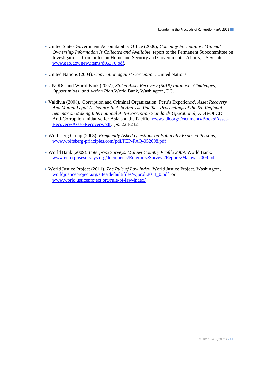- United States Government Accountability Office (2006), *Company Formations: Minimal Ownership Information Is Collected and Available,* report to the Permanent Subcommittee on Investigations, Committee on Homeland Security and Governmental Affairs, US Senate, [www.gao.gov/new.items/d06376.pdf.](http://www.gao.gov/new.items/d06376.pdf)
- United Nations (2004), *Convention against Corruption,* United Nations.
- UNODC and World Bank (2007), *Stolen Asset Recovery (StAR) Initiative: Challenges, Opportunities, and Action Plan*,World Bank, Washington, DC.
- Valdivia (2008), 'Corruption and Criminal Organization: Peru's Experience', *Asset Recovery And Mutual Legal Assistance In Asia And The Pacific, Proceedings of the 6th Regional Seminar on Making International Anti-Corruption Standards Operational*, ADB/OECD Anti-Corruption Initiative for Asia and the Pacific, [www.adb.org/Documents/Books/Asset-](http://www.adb.org/Documents/Books/Asset-Recovery/Asset-Recovery.pdf)[Recovery/Asset-Recovery.pdf,](http://www.adb.org/Documents/Books/Asset-Recovery/Asset-Recovery.pdf) *pp.* 223-232.
- Wolfsberg Group (2008), *Frequently Asked Questions on Politically Exposed Persons*, [www.wolfsberg-principles.com/pdf/PEP-FAQ-052008.pdf](http://www.wolfsberg-principles.com/pdf/PEP-FAQ-052008.pdf)
- World Bank (2009), *Enterprise Surveys, Malawi Country Profile 2009*, World Bank, [www.enterprisesurveys.org/documents/EnterpriseSurveys/Reports/Malawi-2009.pdf](http://www.enterprisesurveys.org/documents/EnterpriseSurveys/Reports/Malawi-2009.pdf)
- World Justice Project (2011), *The Rule of Law Index,* World Justice Project, Washington, [worldjusticeproject.org/sites/default/files/wjproli2011\\_0.pdf](http://worldjusticeproject.org/sites/default/files/wjproli2011_0.pdf) or [www.worldjusticeproject.org/rule-of-law-index/](http://www.worldjusticeproject.org/rule-of-law-index/)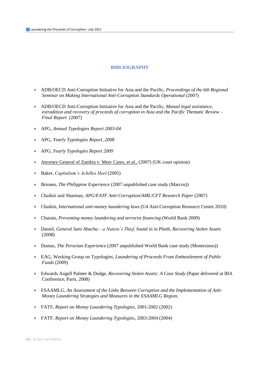#### **BIBLIOGRAPHY**

- <span id="page-41-0"></span> ADB/OECD Anti-Corruption Initiative for Asia and the Pacific, *Proceedings of the 6th Regional Seminar on Making International Anti-Corruption Standards Operational* (2007)
- ADB/OECD Anti-Corruption Initiative for Asia and the Pacific, *Mutual legal assistance, extradition and recovery of proceeds of corruption in Asia and the Pacific Thematic Review – Final Report* (2007)
- APG, *Annual Typologies Report 2003-04*
- APG, *Yearly Typologies Report, 2008*
- APG, *Yearly Typologies Report 2009*
- Attorney General of Zambia v. Meer Cares, *et al*., (2007) (UK court opinion)
- Baker, *Capitalism's Achilles Heel* (2005)
- Briones, *The Philippine Experience* (2007 unpublished case study (Marcos))
- Chaikin and Sharman, *APG/FATF Anti-Corruption/AML/CFT Research Paper* (2007)
- Chaikin, *International anti-money laundering laws* (U4 Anti-Corruption Resource Centre 2010)
- Chatain, *Preventing money laundering and terrorist financing* (World Bank 2009)
- Daniel, *General Sani Abacha – a Nation's Thief*, found in in Plieth, *Recovering Stolen Assets* (2008)
- Dumas, *The Peruvian Experience* (2007 unpublished World Bank case study (Montesinos))
- EAG, Working Group on Typologies, *Laundering of Proceeds From Embezzlement of Public Funds* (2009)
- Edwards Angell Palmer & Dodge, *Recovering Stolen Assets: A Case Study* (Paper delivered at IBA Conference, Paris, 2008)
- ESAAMLG, *An Assessment of the Links Between Corruption and the Implementation of Anti-Money Laundering Strategies and Measures in the ESAAMLG Region*,
- FATF, *Report on Money Laundering Typologies*, 2001-2002 (2002)
- FATF, *Report on Money Laundering Typologies*, 2003-2004 (2004)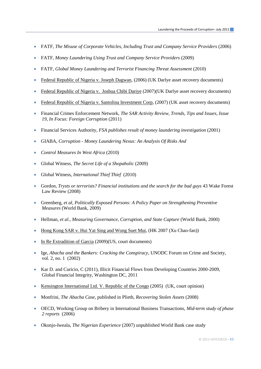- FATF, *The Misuse of Corporate Vehicles, Including Trust and Company Service Providers* (2006)
- FATF, *Money Laundering Using Trust and Company Service Providers* (2009)
- FATF, *Global Money Laundering and Terrorist Financing Threat Assessment* (2010)
- Federal Republic of Nigeria v. Joseph Dagwan, (2006) (UK Darlye asset recovery documents)
- Federal Republic of Nigeria v. Joshua Chibi Dariye (2007)(UK Darlye asset recovery documents)
- Federal Republic of Nigeria v. Santolina Investment Corp, (2007) (UK asset recovery documents)
- Financial Crimes Enforcement Network, *The SAR Activity Review, Trends, Tips and Issues, Issue 19, In Focus: Foreign Corruption* (2011)
- Financial Services Authority, *FSA publishes result of money laundering investigation* (2001)
- GIABA, *Corruption - Money Laundering Nexus: An Analysis Of Risks And*
- *Control Measures In West Africa* (2010)
- Global Witness, *The Secret Life of a Shopaholic* (2009)
- Global Witness, *International Thief Thief* (2010)
- Gordon, *Trysts or terrorists? Financial institutions and the search for the bad guys* 43 Wake Forest Law Review (2008)
- Greenberg, *et al*, *Politically Exposed Persons: A Policy Paper on Strengthening Preventive Measures* (World Bank, 2009)
- Hellman, *et al*., *Measuring Governance, Corruption, and State Capture* (World Bank, 2000)
- Hong Kong SAR v. Hui Yat Sing and Wong Suet Mui, (HK 2007 (Xu Chao-fan))
- In Re Extradition of Garcia (2009)(US, court documents)
- Ige, *Abacha and the Bankers: Cracking the Conspiracy*, UNODC Forum on Crime and Society, vol. 2, no. 1 (2002)
- Kar D. and Curicio, C (2011), Illicit Financial Flows from Developing Countries 2000-2009, Global Financial Integrity, Washington DC, 2011
- Kensington International Ltd. V. Republic of the Congo (2005) (UK, court opinion)
- Monfrini, *The Abacha Case*, published in Plieth, *Recovering Stolen Assets* (2008)
- OECD, Working Group on Bribery in International Business Transactions, *Mid-term study of phase 2 reports* (2006)
- Okonjo-Iweala, *The Nigerian Experience* (2007) unpublished World Bank case study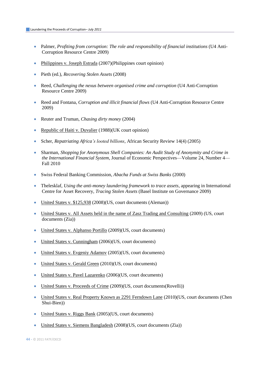- Palmer, *Profiting from corruption: The role and responsibility of financial institutions* (U4 Anti-Corruption Resource Centre 2009)
- Philippines v. Joseph Estrada (2007)(Philippines court opinion)
- Pieth (ed.), *Recovering Stolen Assets* (2008)
- Reed, *Challenging the nexus between organised crime and corruption* (U4 Anti-Corruption Resource Centre 2009)
- Reed and Fontana, *Corruption and illicit financial flows* (U4 Anti-Corruption Resource Centre 2009)
- Reuter and Truman, *Chasing dirty money* (2004)
- Republic of Haiti v. Duvalier (1988)(UK court opinion)
- Scher, *Repatriating Africa's looted billions*, African Security Review 14(4) (2005)
- Sharman, *Shopping for Anonymous Shell Companies: An Audit Study of Anonymity and Crime in the International Financial System*, Journal of Economic Perspectives—Volume 24, Number 4— Fall 2010
- Swiss Federal Banking Commission, *Abacha Funds at Swiss Banks* (2000)
- Thelesklaf, *Using the anti-money laundering framework to trace assets*, appearing in International Centre for Asset Recovery, *Tracing Stolen Assets* (Basel Institute on Governance 2009)
- United States v. \$125,938 (2008)(US, court documents (Aleman))
- United States v. All Assets held in the name of Zasz Trading and Consulting (2009) (US, court documents (Zia))
- United States v. Alphanso Portillo (2009)(US, court documents)
- United States v. Cunningham (2006)(US, court documents)
- United States v. Evgeniy Adamov (2005)(US, court documents)
- United States v. Gerald Green (2010)(US, court documents)
- United States v. Pavel Lazarenko (2006)(US, court documents)
- United States v. Proceeds of Crime (2009)(US, court documents(Rovelli))
- United States v. Real Property Known as 2291 Ferndown Lane (2010)(US, court documents (Chen Shui-Bien))
- United States v. Riggs Bank (2005)(US, court documents)
- United States v. Siemens Bangladesh (2008)(US, court documents (Zia))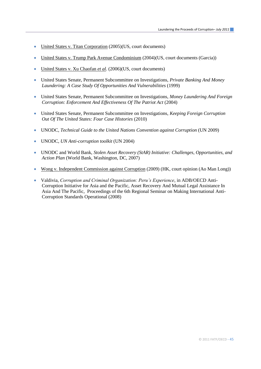- United States v. Titan Corporation (2005)(US, court documents)
- United States v. Trump Park Avenue Condominium (2004)(US, court documents (Garcia))
- United States v. Xu Chaofan *et al*. (2006)(US, court documents)
- United States Senate, Permanent Subcommittee on Investigations, *Private Banking And Money Laundering: A Case Study Of Opportunities And Vulnerabilities* (1999)
- United States Senate, Permanent Subcommittee on Investigations, *Money Laundering And Foreign Corruption: Enforcement And Effectiveness Of The Patriot Act* (2004)
- United States Senate, Permanent Subcommittee on Investigations, *Keeping Foreign Corruption Out Of The United States: Four Case Histories* (2010)
- UNODC, *Technical Guide to the United Nations Convention against Corruption* (UN 2009)
- UNODC, *UN Anti-corruption toolkit* (UN 2004)
- UNODC and World Bank, *Stolen Asset Recovery (StAR) Initiative: Challenges, Opportunities, and Action Plan* (World Bank, Washington, DC, 2007)
- Wong v. Independent Commission against Corruption (2009) (HK, court opinion (Ao Man Long))
- Valdivia, *Corruption and Criminal Organization: Peru's Experience*, in ADB/OECD Anti-Corruption Initiative for Asia and the Pacific, Asset Recovery And Mutual Legal Assistance In Asia And The Pacific, Proceedings of the 6th Regional Seminar on Making International Anti-Corruption Standards Operational (2008)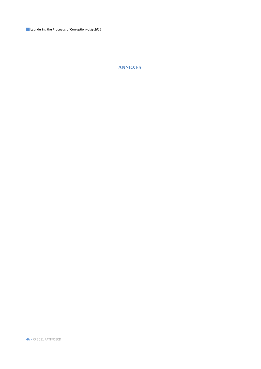<span id="page-45-0"></span>**ANNEXES**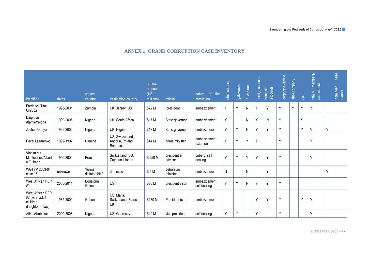| Identifier                                                           | dates     | source<br>country        | destination country                                    | approx.<br>amount<br>(US)<br>millions) | official                | the<br>of<br>nature<br>corruption | state capture | gatekeeper | Fl capture   | foreign accounts | domestic<br>accounts | corporate vehicle | shell company | cash | members/<br>family men<br>associates? | false | nominee/<br>name? |
|----------------------------------------------------------------------|-----------|--------------------------|--------------------------------------------------------|----------------------------------------|-------------------------|-----------------------------------|---------------|------------|--------------|------------------|----------------------|-------------------|---------------|------|---------------------------------------|-------|-------------------|
| <b>Frederick Titus</b><br>Chiluba                                    | 1995-2001 | Zambia                   | UK, Jersey, US                                         | \$72 M                                 | president               | embezzlement                      | Y             | Y          | N            | Y                | Y                    | Υ                 | Υ             | Y    | Υ                                     |       |                   |
| Diepreye<br>AlamieYeigha                                             | 1999-2005 | Nigeria                  | UK, South Africa                                       | \$17 M                                 | State governor          | embezzlement                      | Y             |            | N            | Y                | N                    | Υ                 |               | Y    |                                       |       |                   |
| Joshua Dariye                                                        | 1999-2006 | Nigeria                  | UK, Nigeria                                            | \$17 M                                 | State governor          | embezzlement                      | Y             | Y          | N            | Y                | Y                    | Υ                 |               | Y    | $\checkmark$                          | Υ     |                   |
| Pavel Lazarenko                                                      | 1992-1997 | Ukraine                  | US, Switzerland,<br>Antigua, Poland,<br><b>Bahamas</b> | \$44 M                                 | prime minister          | embezzlement:<br>extortion        | $\vee$        | $\vee$     | $\checkmark$ | Y                |                      | Y                 |               |      | $\vee$                                |       |                   |
| Vladimiros<br>Montesinos/Albert<br>o Fujimori                        | 1990-2000 | Peru                     | Switzerland, US,<br>Cayman Islands                     | \$250 M                                | presidential<br>advisor | bribery; self<br>dealing          | Y             | Υ          | Υ            | Y                | Y                    | Υ                 |               |      | Y                                     |       |                   |
| WGTYP 2003-04<br>case 16                                             | unknown   | "former<br>dictatorship" | domestic                                               | \$6M                                   | petroleum<br>minister   | embezzlement                      | N             |            | N            |                  | Y                    |                   |               |      |                                       | Υ     |                   |
| West African PEP<br>#1                                               | 2005-2011 | Equatorial<br>Guinea     | US                                                     | \$80 M                                 | president's son         | embezzlement:<br>self dealing     | Y             | Y          | Ν            | Y                | Y                    | Υ                 |               |      |                                       |       |                   |
| West African PEP<br>#2 (wife, adult<br>children.<br>daughter-in-law) | 1985-2009 | Gabon                    | US, Malta,<br>Switzerland, France,<br>UK               | \$130 M                                | President (son)         | embezzlement                      |               |            |              | Y                | Y                    | v                 |               | Y    | Y                                     |       |                   |
| Atiku Abubakar                                                       | 2000-2008 | Nigeria                  | US, Guernsey                                           | \$40 M                                 | vice president          | self dealing                      | Y             | Υ          |              | Y                |                      | Υ                 |               |      | $\mathsf{v}$                          |       |                   |

# **ANNEX 1: GRAND CORRUPTION CASE INVENTORY**

© 2011 FATF/OECD - 47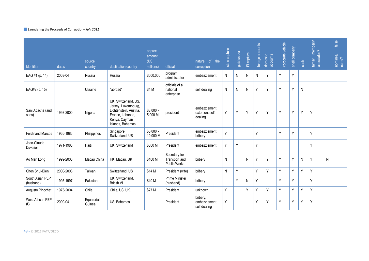| Identifier                   | dates     | source<br>country    | destination country                                                                                                            | approx.<br>amount<br>(US<br>millions) | official                                              | nature of the<br>corruption                 | state capture | gatekeeper   | capture<br>司 | foreign accounts | domestic<br>accounts | corporate vehicle | shell company | cash | members/<br>associates?<br>family | false<br>nominee/<br>name? |
|------------------------------|-----------|----------------------|--------------------------------------------------------------------------------------------------------------------------------|---------------------------------------|-------------------------------------------------------|---------------------------------------------|---------------|--------------|--------------|------------------|----------------------|-------------------|---------------|------|-----------------------------------|----------------------------|
| EAG #1 (p. 14)               | 2003-04   | Russia               | Russia                                                                                                                         | \$500,000                             | program<br>administrator                              | embezzlement                                | N             | N            | N            | N                | Y                    | Y                 | Y             |      |                                   |                            |
| EAG#2 (p. 15)                |           | Ukraine              | "abroad"                                                                                                                       | \$4 M                                 | officials of a<br>national<br>enterprise              | self dealing                                | N             | $\mathsf{N}$ | N            | Υ                | Y                    | Y                 | Y             | N    |                                   |                            |
| Sani Abacha (and<br>sons)    | 1993-2000 | Nigeria              | UK, Switzerland, US,<br>Jersey, Luxembourg,<br>Lichtenstein, Austria,<br>France, Lebanon,<br>Kenya, Cayman<br>Islands, Bahamas | $$3,000 -$<br>5,000 M                 | president                                             | embezzlement:<br>extortion; self<br>dealing | Y             | Y            | Y            | Y                | Y                    | Y                 | Y             | Y    | Y                                 |                            |
| <b>Ferdinand Marcos</b>      | 1965-1986 | Philippines          | Singapore,<br>Switzerland, US                                                                                                  | $$5,000 -$<br>10,000 M                | President                                             | embezzlement:<br>bribery                    | Y             |              |              | Υ                |                      | Y                 | Y             |      | Y                                 |                            |
| Jean-Claude<br>Duvalier      | 1971-1986 | Haiti                | UK, Switzerland                                                                                                                | \$300 M                               | President                                             | embezzlement                                | Y             | Y            |              | Y                |                      |                   |               |      | Y                                 |                            |
| Ao Man Long                  | 1999-2006 | Macau China          | HK, Macau, UK                                                                                                                  | \$100 M                               | Secretary for<br>Transport and<br><b>Public Works</b> | bribery                                     | N             |              | N            | Y                | Y                    | Y                 | Y             | N    | Y                                 | $\mathsf{N}$               |
| Chen Shui-Bien               | 2000-2008 | Taiwan               | Switzerland, US                                                                                                                | \$14 M                                | President (wife)                                      | bribery                                     | N             | Y            |              | Υ                | Υ                    | Y                 | Y             | Y    | Y                                 |                            |
| South Asian PEP<br>(husband) | 1995-1997 | Pakistan             | UK, Switzerland,<br><b>British VI</b>                                                                                          | \$40 M                                | <b>Prime Minister</b><br>(husband)                    | bribery                                     |               | Y            | N            | Y                |                      | Y                 | Y             |      | Y                                 |                            |
| Augusto Pinochet             | 1973-2004 | Chile                | Chile, US, UK,                                                                                                                 | \$27 M                                | President                                             | unknown                                     | Y             |              | Y            | Y                | Υ                    | Y                 | Y             | Y    | Y                                 |                            |
| West African PEP<br>#3       | 2000-04   | Equatorial<br>Guinea | US, Bahamas                                                                                                                    |                                       | President                                             | bribery,<br>embezzlement.<br>self dealing   | Y             |              |              | Υ                | Υ                    | Y                 | Y             | Y    | Y                                 |                            |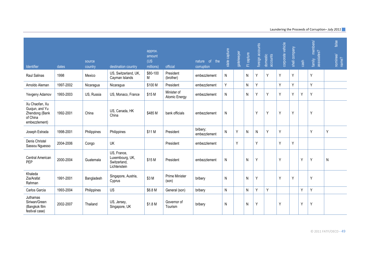| Identifier                                                                      | dates     | source<br>country | destination country                                            | approx.<br>amount<br>(US)<br>millions) | official                       | nature of the<br>corruption | state capture | gatekeeper | Fl capture | foreign accounts | domestic<br>accounts | corporate vehicle | shell company | cash | members/<br>associates?<br>fannily | false<br>nominee/<br>name? |
|---------------------------------------------------------------------------------|-----------|-------------------|----------------------------------------------------------------|----------------------------------------|--------------------------------|-----------------------------|---------------|------------|------------|------------------|----------------------|-------------------|---------------|------|------------------------------------|----------------------------|
| Raul Salinas                                                                    | 1998      | Mexico            | US, Switzerland, UK,<br>Cayman Islands                         | \$80-100<br>M                          | President<br>(brother)         | embezzlement                | N             |            | N          | Y                | Y                    | Y                 | Y             |      | Y                                  |                            |
| Arnoldo Aleman                                                                  | 1997-2002 | Nicaragua         | Nicaragua                                                      | \$100 M                                | President                      | embezzlement                | Y             |            | N          | Y                |                      | Y                 | Y             |      | Y                                  |                            |
| Yevgeny Adamov                                                                  | 1993-2003 | US, Russia        | US, Monaco, France                                             | \$15 M                                 | Minister of<br>Atomic Energy   | embezzlement                | N             |            | N          | Υ                | Y                    | Y                 | Y             | Y    | Y                                  |                            |
| Xu Chaofan, Xu<br>Guojun, and Yu<br>Zhendong (Bank<br>of China<br>embezzlement) | 1992-2001 | China             | US, Canada, HK<br>China                                        | \$485 M                                | bank officials                 | embezzlement                | $\mathsf{N}$  |            |            | Υ                | Y                    | Y                 | Y             |      | Y                                  |                            |
| Joseph Estrada                                                                  | 1998-2001 | Philippines       | Philippines                                                    | \$11 M                                 | President                      | bribery;<br>embezzlement    | ${\sf N}$     | Y          | N          | N                | Y                    | Y                 |               |      | Y                                  | Υ                          |
| Denis Christel<br>Sassou Nguesso                                                | 2004-2006 | Congo             | UK                                                             |                                        | President                      | embezzlement                |               | Y          |            | Y                |                      | Y                 | Y             |      |                                    |                            |
| Central American<br>PEP                                                         | 2000-2004 | Guatemala         | US, France,<br>Luxembourg, UK,<br>Switzerland,<br>Lichtenstein | \$15 M                                 | President                      | embezzlement                | N             |            | N          | Υ                |                      | Y                 |               | Υ    | Y                                  | $\mathsf{N}$               |
| Khaleda<br>Zia/Arafat<br>Rahman                                                 | 1991-2001 | Bangladesh        | Singapore, Austria,<br>Cyprus                                  | \$3 M                                  | <b>Prime Minister</b><br>(son) | bribery                     | N             |            | N          | Y                |                      | Υ                 | Y             |      | Y                                  |                            |
| Carlos Garcia                                                                   | 1993-2004 | Philippines       | <b>US</b>                                                      | \$6.8 M                                | General (son)                  | bribery                     | N             |            | N          | Υ                | Y                    |                   |               | Υ    | Y                                  |                            |
| Juthamas<br>Siriwan/Green<br>(Bangkok film<br>festival case)                    | 2002-2007 | Thailand          | US, Jersey,<br>Singapore, UK                                   | \$1.8 M                                | Governor of<br>Tourism         | bribery                     | $\mathsf{N}$  |            | N          | Υ                |                      | Y                 |               | ٧    | Y                                  |                            |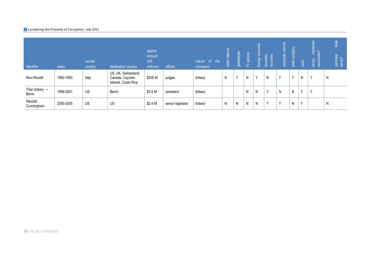#### Laundering the Proceeds of Corruption– *July 2011*

| Identifier                       | dates     | source<br>country | destination country                                           | approx.<br>amount<br>(US)<br>millions) | official          | nature<br>of<br>the<br>corruption | capture<br>state | gatekeeper   | capture<br>同 | nts<br>foreign acc | domestic<br>accounts | corporate vehicle | shell company | cash         | members<br>family men<br>associates? | false<br>nominee/<br>name? |
|----------------------------------|-----------|-------------------|---------------------------------------------------------------|----------------------------------------|-------------------|-----------------------------------|------------------|--------------|--------------|--------------------|----------------------|-------------------|---------------|--------------|--------------------------------------|----------------------------|
| Nino Rovelli                     | 1990-1993 | Italy             | US, UK, Switzerland,<br>Canada, Cayman<br>Islands, Costa Rica | \$500 M                                | judges            | bribery                           | N                | $\checkmark$ | N            |                    | N                    | $\checkmark$      | $\checkmark$  | N            | $\mathbf{v}$                         | N                          |
| Titan bribery --<br><b>Benin</b> | 1999-2001 | US                | <b>Benin</b>                                                  | \$3.5 M                                | president         | bribery                           |                  |              | N            | N                  | $\checkmark$         | N                 | N             | $\checkmark$ | $\checkmark$                         |                            |
| Randall<br>Cunningham            | 2000-2005 | US                | US                                                            | \$2.4 M                                | senior legislator | bribery                           | N                | N            | N            | N                  |                      | $\checkmark$      | N             | $\vee$       |                                      | N                          |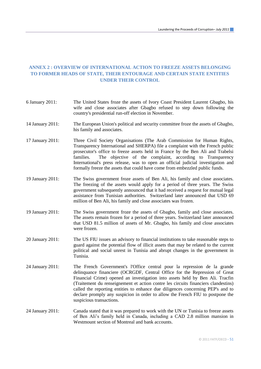# **ANNEX 2 : OVERVIEW OF INTERNATIONAL ACTION TO FREEZE ASSETS BELONGING TO FORMER HEADS OF STATE, THEIR ENTOURAGE AND CERTAIN STATE ENTITIES UNDER THEIR CONTROL**

- 6 January 2011: The United States froze the assets of Ivory Coast President Laurent Gbagbo, his wife and close associates after Gbagbo refused to step down following the country's presidential run-off election in November.
- 14 January 2011: The European Union's political and security committee froze the assets of Gbagbo, his family and associates.
- 17 January 2011: Three Civil Society Organisations (The Arab Commission for Human Rights, Transparency International and SHERPA) file a complaint with the French public prosecutor's office to freeze assets held in France by the Ben Ali and Trabelsi families. The objective of the complaint, according to Transparency International's press release, was to open an official judicial investigation and formally freeze the assets that could have come from embezzled public funds.
- 19 January 2011: The Swiss government froze assets of Ben Ali, his family and close associates. The freezing of the assets would apply for a period of three years. The Swiss government subsequently announced that it had received a request for mutual legal assistance from Tunisian authorities. Switzerland later announced that USD 69 million of Ben Ali, his family and close associates was frozen.
- 19 January 2011: The Swiss government froze the assets of Gbagbo, family and close associates. The assets remain frozen for a period of three years. Switzerland later announced that USD 81.5 million of assets of Mr. Gbagbo, his family and close associates were frozen.
- 20 January 2011: The US FIU issues an advisory to financial institutions to take reasonable steps to guard against the potential flow of illicit assets that may be related to the current political and social unrest in Tunisia and abrupt changes in the government in Tunisia.
- 24 January 2011: The French Government's l'Office central pour la repression de la grande delinquance financiere (OCRGDF, Central Office for the Repression of Great Financial Crime) opened an investigation into assets held by Ben Ali. Tracfin (Traitement du renseignement et action contre les circuits financiers clandestins) called the reporting entities to enhance due diligences concerning PEP's and to declare promply any suspicion in order to allow the French FIU to postpone the suspicious transactions.
- 24 January 2011: Canada stated that it was prepared to work with the UN or Tunisia to freeze assets of Ben Ali's family held in Canada, including a CAD 2.8 million mansion in Westmount section of Montreal and bank accounts.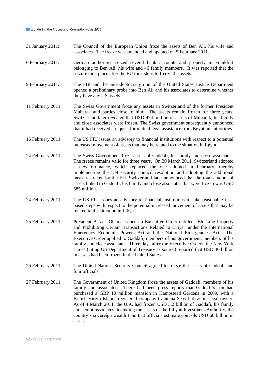- 31 January 2011: The Council of the European Union froze the assets of Ben Ali, his wife and associates. The freeze was amended and updated on 5 February 2011.
- 6 February 2011: German authorities seized several bank accounts and property in Frankfurt belonging to Ben Ali, his wife and 46 family members. It was reported that the seizure took place after the EU took steps to freeze the assets.
- 9 February 2011: The FBI and the anti-kleptocracy unit of the United States Justice Department opened a preliminary probe into Ben Ali and his associates to determine whether they have any US assets.
- 11 February 2011: The Swiss Government froze any assets in Switzerland of the former President Mubarak and parties close to him. The assets remain frozen for three years. Switzerland later revealed that USD 474 million of assets of Mubarak, his family and close associates were frozen. The Swiss government subsequently announced that it had received a request for mutual legal assistance from Egyptian authorities.
- 16 February 2011: The US FIU issues an advisory to financial institutions with respect to a potential increased movement of assets that may be related to the situation in Egypt.
- 24 February 2011: The Swiss Government froze assets of Gaddafi, his family and close associates. The freeze remains valid for three years. On 30 March 2011, Switzerland adopted a new ordinance, which replaced the one adopted in February, thereby implementing the UN security council resolution and adopting the additional measures taken by the EU. Switzerland later announced that the total amount of assets linked to Gaddafi, his family and close associates that were frozen was USD 585 million.
- 24 February 2011: The US FIU issues an advisory to financial institutions to take reasonable riskbased steps with respect to the potential increased movement of assets that may be related to the situation in Libya.
- 25 February 2011: President Barack Obama issued an Executive Order entitled "Blocking Property and Prohibiting Certain Transactions Related to Libya" under the International Emergency Economic Powers Act and the National Emergencies Act. The Executive Order applied to Gaddafi, members of his government, members of his family and close associates. Three days after the Executive Orders, the New York Times (citing US Department of Treasury as source) reported that USD 30 billion in assets had been frozen in the United States.
- 26 February 2011: The United Nations Security Council agreed to freeze the assets of Gaddafi and four officials.
- 27 February 2011: The Government of United Kingdom froze the assets of Gaddafi, members of his family and associates. There had been press reports that Gaddafi's son had purchased a GBP 10 million mansion in Hampstead Gardens in 2009, with a British Virgin Islands registered company Capitana Seas Ltd. as its legal owner. As of 4 March 2011, the U.K. had frozen USD 3.2 billion of Gaddafi, his family and senior associates, including the assets of the Libyan Investment Authority, the country's sovereign wealth fund that officials estimate controls USD 60 billion in assets.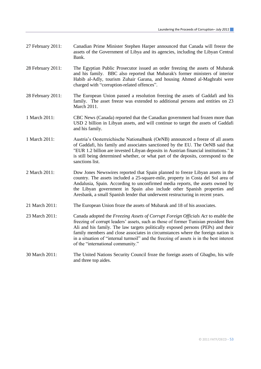- 27 February 2011: Canadian Prime Minister Stephen Harper announced that Canada will freeze the assets of the Government of Libya and its agencies, including the Libyan Central Bank.
- 28 February 2011: The Egyptian Public Prosecutor issued an order freezing the assets of Mubarak and his family. BBC also reported that Mubarak's former ministers of interior Habib al-Adly, tourism Zuhair Garana, and housing Ahmed al-Maghrabi were charged with "corruption-related offences".
- 28 February 2011: The European Union passed a resolution freezing the assets of Gaddafi and his family. The asset freeze was extended to additional persons and entities on 23 March 2011.
- 1 March 2011: CBC News (Canada) reported that the Canadian government had frozen more than USD 2 billion in Libyan assets, and will continue to target the assets of Gaddafi and his family.
- 1 March 2011: Austria's Oesterreichische Nationalbank (OeNB) announced a freeze of all assets of Gaddafi, his family and associates sanctioned by the EU. The OeNB said that "EUR 1.2 billion are invested Libyan deposits in Austrian financial institutions." It is still being determined whether, or what part of the deposits, correspond to the sanctions list.
- 2 March 2011: Dow Jones Newswires reported that Spain planned to freeze Libyan assets in the country. The assets included a 25-square-mile, property in Costa del Sol area of Andalusia, Spain. According to unconfirmed media reports, the assets owned by the Libyan government in Spain also include other Spanish properties and Aresbank, a small Spanish lender that underwent restructuring in recent years.
- 21 March 2011: The European Union froze the assets of Mubarak and 18 of his associates.
- 23 March 2011: Canada adopted the *Freezing Assets of Corrupt Foreign Officials Act* to enable the freezing of corrupt leaders' assets, such as those of former Tunisian president Ben Ali and his family. The law targets politically exposed persons (PEPs) and their family members and close associates in circumstances where the foreign nation is in a situation of "internal turmoil" and the freezing of assets is in the best interest of the "international community."
- 30 March 2011: The United Nations Security Council froze the foreign assets of Gbagbo, his wife and three top aides.